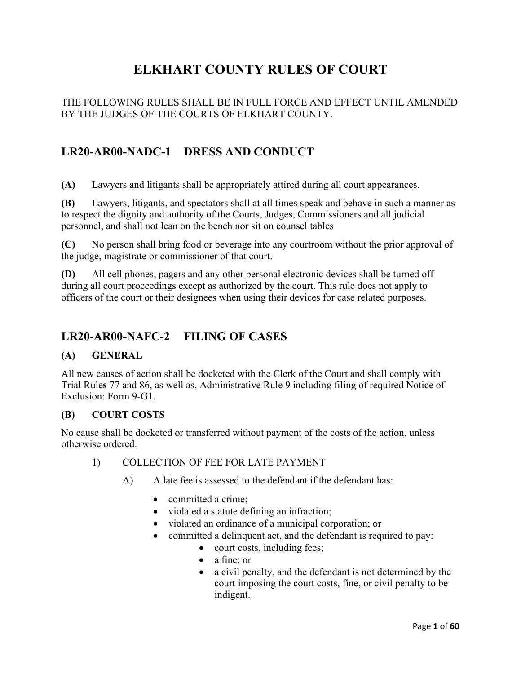# **ELKHART COUNTY RULES OF COURT**

## THE FOLLOWING RULES SHALL BE IN FULL FORCE AND EFFECT UNTIL AMENDED BY THE JUDGES OF THE COURTS OF ELKHART COUNTY.

## **LR20-AR00-NADC-1 DRESS AND CONDUCT**

**(A)** Lawyers and litigants shall be appropriately attired during all court appearances.

**(B)** Lawyers, litigants, and spectators shall at all times speak and behave in such a manner as to respect the dignity and authority of the Courts, Judges, Commissioners and all judicial personnel, and shall not lean on the bench nor sit on counsel tables

**(C)** No person shall bring food or beverage into any courtroom without the prior approval of the judge, magistrate or commissioner of that court.

**(D)** All cell phones, pagers and any other personal electronic devices shall be turned off during all court proceedings except as authorized by the court. This rule does not apply to officers of the court or their designees when using their devices for case related purposes.

## **LR20-AR00-NAFC-2 FILING OF CASES**

## **(A) GENERAL**

All new causes of action shall be docketed with the Clerk of the Court and shall comply with Trial Rule**s** 77 and 86, as well as, Administrative Rule 9 including filing of required Notice of Exclusion: Form 9-G1.

## **(B) COURT COSTS**

No cause shall be docketed or transferred without payment of the costs of the action, unless otherwise ordered.

- 1) COLLECTION OF FEE FOR LATE PAYMENT
	- A) A late fee is assessed to the defendant if the defendant has:
		- committed a crime;
		- violated a statute defining an infraction;
		- violated an ordinance of a municipal corporation; or
		- committed a delinquent act, and the defendant is required to pay:
			- court costs, including fees;
			- a fine: or
			- a civil penalty, and the defendant is not determined by the court imposing the court costs, fine, or civil penalty to be indigent.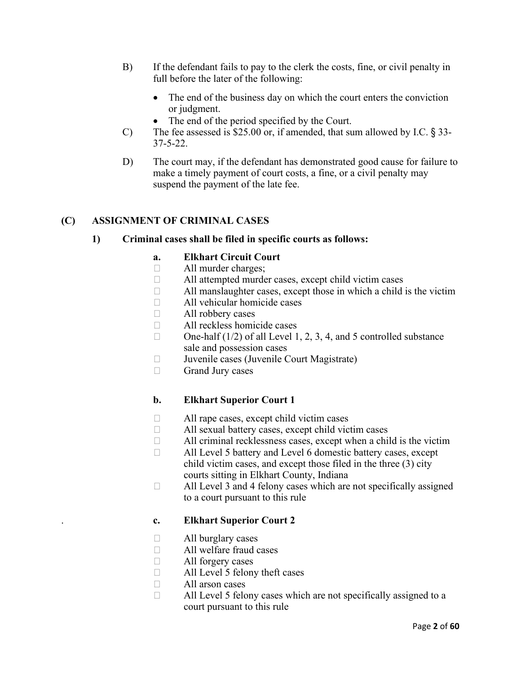- B) If the defendant fails to pay to the clerk the costs, fine, or civil penalty in full before the later of the following:
	- The end of the business day on which the court enters the conviction or judgment.
	- The end of the period specified by the Court.
- C) The fee assessed is \$25.00 or, if amended, that sum allowed by I.C. § 33- 37-5-22.
- D) The court may, if the defendant has demonstrated good cause for failure to make a timely payment of court costs, a fine, or a civil penalty may suspend the payment of the late fee.

## **(C) ASSIGNMENT OF CRIMINAL CASES**

## **1) Criminal cases shall be filed in specific courts as follows:**

## **a. Elkhart Circuit Court**

- All murder charges;
- $\Box$  All attempted murder cases, except child victim cases
- $\Box$  All manslaughter cases, except those in which a child is the victim
- $\Box$  All vehicular homicide cases
- All robbery cases
- All reckless homicide cases
- $\Box$  One-half (1/2) of all Level 1, 2, 3, 4, and 5 controlled substance sale and possession cases
- $\square$  Juvenile cases (Juvenile Court Magistrate)
- Grand Jury cases

## **b. Elkhart Superior Court 1**

- $\Box$  All rape cases, except child victim cases
- $\Box$  All sexual battery cases, except child victim cases
- $\Box$  All criminal recklessness cases, except when a child is the victim
- All Level 5 battery and Level 6 domestic battery cases, except child victim cases, and except those filed in the three (3) city courts sitting in Elkhart County, Indiana
- $\Box$  All Level 3 and 4 felony cases which are not specifically assigned to a court pursuant to this rule

## . **c. Elkhart Superior Court 2**

- $\Box$  All burglary cases
- All welfare fraud cases
- All forgery cases
- $\Box$  All Level 5 felony theft cases
- $\Box$  All arson cases
- $\Box$  All Level 5 felony cases which are not specifically assigned to a court pursuant to this rule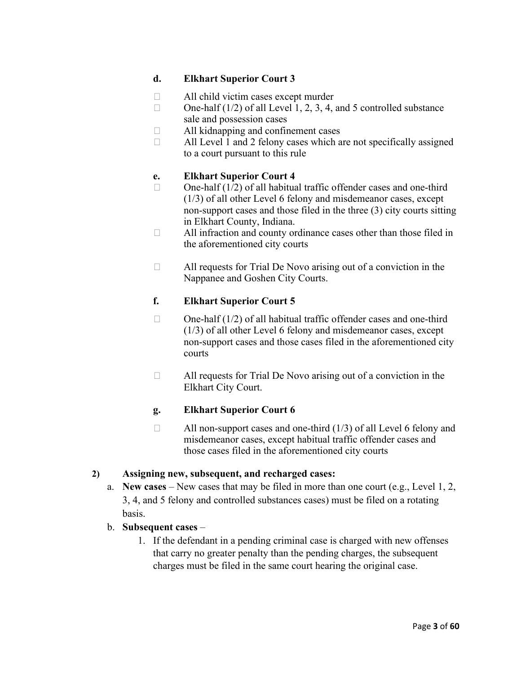## **d. Elkhart Superior Court 3**

- $\Box$  All child victim cases except murder
- $\Box$  One-half (1/2) of all Level 1, 2, 3, 4, and 5 controlled substance sale and possession cases
- $\Box$  All kidnapping and confinement cases
- $\Box$  All Level 1 and 2 felony cases which are not specifically assigned to a court pursuant to this rule

## **e. Elkhart Superior Court 4**

- $\Box$  One-half (1/2) of all habitual traffic offender cases and one-third (1/3) of all other Level 6 felony and misdemeanor cases, except non-support cases and those filed in the three (3) city courts sitting in Elkhart County, Indiana.
- $\Box$  All infraction and county ordinance cases other than those filed in the aforementioned city courts
- $\Box$  All requests for Trial De Novo arising out of a conviction in the Nappanee and Goshen City Courts.

## **f. Elkhart Superior Court 5**

- $\Box$  One-half (1/2) of all habitual traffic offender cases and one-third (1/3) of all other Level 6 felony and misdemeanor cases, except non-support cases and those cases filed in the aforementioned city courts
- $\Box$  All requests for Trial De Novo arising out of a conviction in the Elkhart City Court.

## **g. Elkhart Superior Court 6**

 $\Box$  All non-support cases and one-third (1/3) of all Level 6 felony and misdemeanor cases, except habitual traffic offender cases and those cases filed in the aforementioned city courts

## **2) Assigning new, subsequent, and recharged cases:**

a. **New cases** – New cases that may be filed in more than one court (e.g., Level 1, 2, 3, 4, and 5 felony and controlled substances cases) must be filed on a rotating basis.

## b. **Subsequent cases** –

 1. If the defendant in a pending criminal case is charged with new offenses that carry no greater penalty than the pending charges, the subsequent charges must be filed in the same court hearing the original case.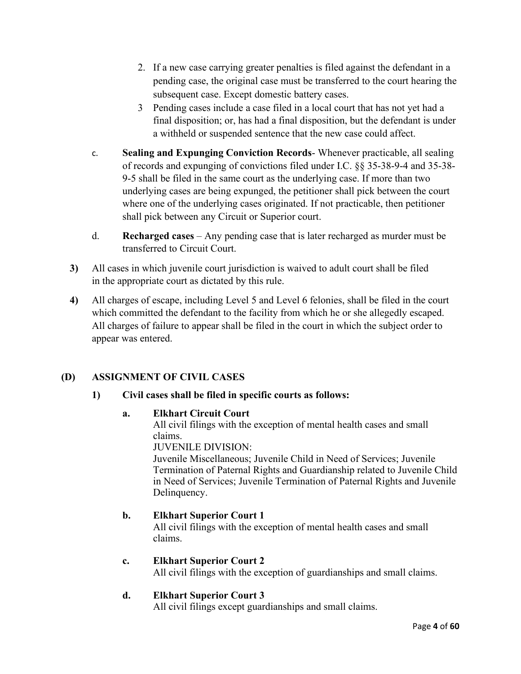- 2. If a new case carrying greater penalties is filed against the defendant in a pending case, the original case must be transferred to the court hearing the subsequent case. Except domestic battery cases.
- 3 Pending cases include a case filed in a local court that has not yet had a final disposition; or, has had a final disposition, but the defendant is under a withheld or suspended sentence that the new case could affect.
- c. **Sealing and Expunging Conviction Records** Whenever practicable, all sealing of records and expunging of convictions filed under I.C. §§ 35-38-9-4 and 35-38- 9-5 shall be filed in the same court as the underlying case. If more than two underlying cases are being expunged, the petitioner shall pick between the court where one of the underlying cases originated. If not practicable, then petitioner shall pick between any Circuit or Superior court.
- d. **Recharged cases** Any pending case that is later recharged as murder must be transferred to Circuit Court.
- **3)** All cases in which juvenile court jurisdiction is waived to adult court shall be filed in the appropriate court as dictated by this rule.
- **4)** All charges of escape, including Level 5 and Level 6 felonies, shall be filed in the court which committed the defendant to the facility from which he or she allegedly escaped. All charges of failure to appear shall be filed in the court in which the subject order to appear was entered.

## **(D) ASSIGNMENT OF CIVIL CASES**

## **1) Civil cases shall be filed in specific courts as follows:**

## **a. Elkhart Circuit Court**

All civil filings with the exception of mental health cases and small claims.

## JUVENILE DIVISION:

Juvenile Miscellaneous; Juvenile Child in Need of Services; Juvenile Termination of Paternal Rights and Guardianship related to Juvenile Child in Need of Services; Juvenile Termination of Paternal Rights and Juvenile Delinquency.

## **b. Elkhart Superior Court 1**

All civil filings with the exception of mental health cases and small claims.

## **c. Elkhart Superior Court 2**

All civil filings with the exception of guardianships and small claims.

## **d. Elkhart Superior Court 3**

All civil filings except guardianships and small claims.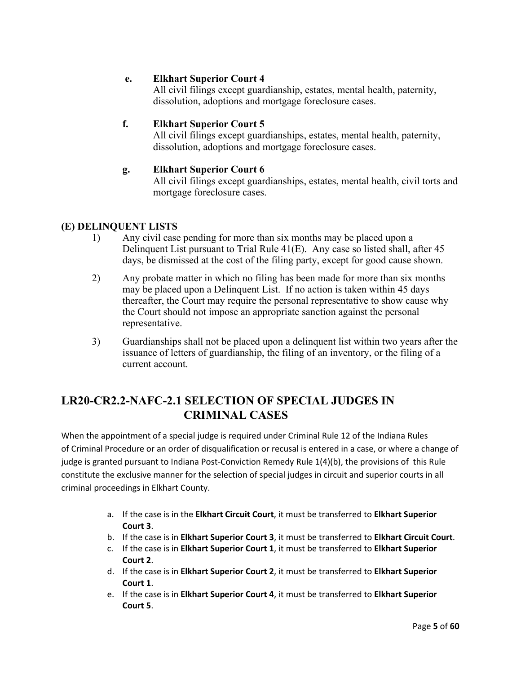## **e. Elkhart Superior Court 4**

All civil filings except guardianship, estates, mental health, paternity, dissolution, adoptions and mortgage foreclosure cases.

## **f. Elkhart Superior Court 5**

All civil filings except guardianships, estates, mental health, paternity, dissolution, adoptions and mortgage foreclosure cases.

## **g. Elkhart Superior Court 6**

All civil filings except guardianships, estates, mental health, civil torts and mortgage foreclosure cases.

## **(E) DELINQUENT LISTS**

- 1) Any civil case pending for more than six months may be placed upon a Delinquent List pursuant to Trial Rule 41(E). Any case so listed shall, after 45 days, be dismissed at the cost of the filing party, except for good cause shown.
- 2) Any probate matter in which no filing has been made for more than six months may be placed upon a Delinquent List. If no action is taken within 45 days thereafter, the Court may require the personal representative to show cause why the Court should not impose an appropriate sanction against the personal representative.
- 3) Guardianships shall not be placed upon a delinquent list within two years after the issuance of letters of guardianship, the filing of an inventory, or the filing of a current account.

# **LR20-CR2.2-NAFC-2.1 SELECTION OF SPECIAL JUDGES IN CRIMINAL CASES**

When the appointment of a special judge is required under Criminal Rule 12 of the Indiana Rules of Criminal Procedure or an order of disqualification or recusal is entered in a case, or where a change of judge is granted pursuant to Indiana Post-Conviction Remedy Rule 1(4)(b), the provisions of this Rule constitute the exclusive manner for the selection of special judges in circuit and superior courts in all criminal proceedings in Elkhart County.

- a. If the case is in the **Elkhart Circuit Court**, it must be transferred to **Elkhart Superior Court 3**.
- b. If the case is in **Elkhart Superior Court 3**, it must be transferred to **Elkhart Circuit Court**.
- c. If the case is in **Elkhart Superior Court 1**, it must be transferred to **Elkhart Superior Court 2**.
- d. If the case is in **Elkhart Superior Court 2**, it must be transferred to **Elkhart Superior Court 1**.
- e. If the case is in **Elkhart Superior Court 4**, it must be transferred to **Elkhart Superior Court 5**.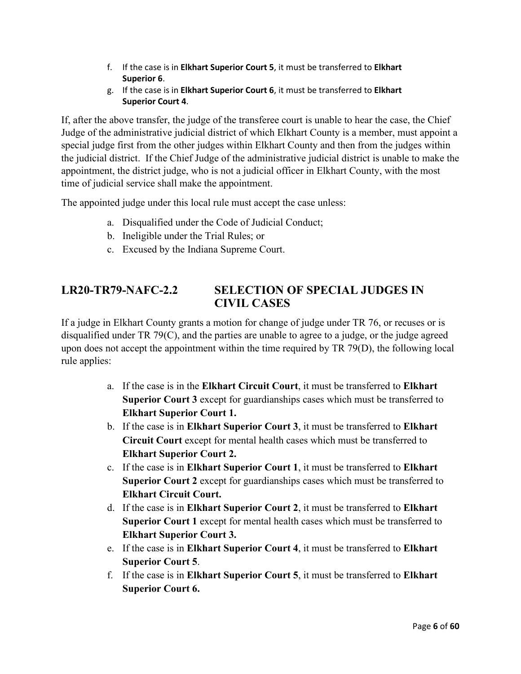- f. If the case is in **Elkhart Superior Court 5**, it must be transferred to **Elkhart Superior 6**.
- g. If the case is in **Elkhart Superior Court 6**, it must be transferred to **Elkhart Superior Court 4**.

If, after the above transfer, the judge of the transferee court is unable to hear the case, the Chief Judge of the administrative judicial district of which Elkhart County is a member, must appoint a special judge first from the other judges within Elkhart County and then from the judges within the judicial district. If the Chief Judge of the administrative judicial district is unable to make the appointment, the district judge, who is not a judicial officer in Elkhart County, with the most time of judicial service shall make the appointment.

The appointed judge under this local rule must accept the case unless:

- a. Disqualified under the Code of Judicial Conduct;
- b. Ineligible under the Trial Rules; or
- c. Excused by the Indiana Supreme Court.

## **LR20-TR79-NAFC-2.2 SELECTION OF SPECIAL JUDGES IN CIVIL CASES**

If a judge in Elkhart County grants a motion for change of judge under TR 76, or recuses or is disqualified under TR 79(C), and the parties are unable to agree to a judge, or the judge agreed upon does not accept the appointment within the time required by TR 79(D), the following local rule applies:

- a. If the case is in the **Elkhart Circuit Court**, it must be transferred to **Elkhart Superior Court 3** except for guardianships cases which must be transferred to **Elkhart Superior Court 1.**
- b. If the case is in **Elkhart Superior Court 3**, it must be transferred to **Elkhart Circuit Court** except for mental health cases which must be transferred to **Elkhart Superior Court 2.**
- c. If the case is in **Elkhart Superior Court 1**, it must be transferred to **Elkhart Superior Court 2** except for guardianships cases which must be transferred to **Elkhart Circuit Court.**
- d. If the case is in **Elkhart Superior Court 2**, it must be transferred to **Elkhart Superior Court 1** except for mental health cases which must be transferred to **Elkhart Superior Court 3.**
- e. If the case is in **Elkhart Superior Court 4**, it must be transferred to **Elkhart Superior Court 5**.
- f. If the case is in **Elkhart Superior Court 5**, it must be transferred to **Elkhart Superior Court 6.**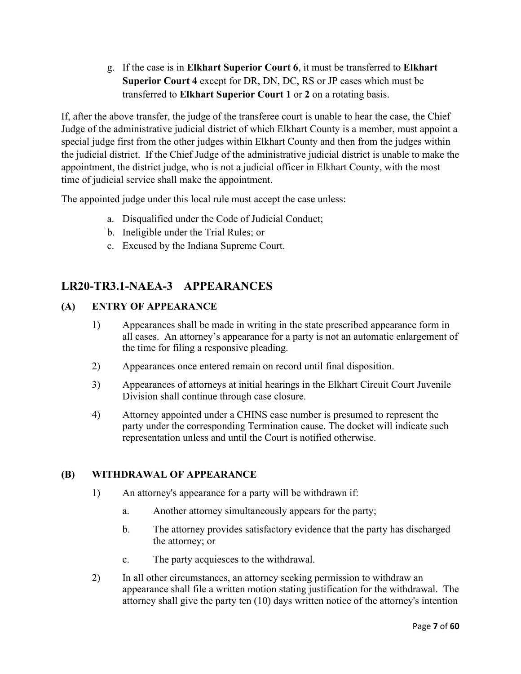g. If the case is in **Elkhart Superior Court 6**, it must be transferred to **Elkhart Superior Court 4** except for DR, DN, DC, RS or JP cases which must be transferred to **Elkhart Superior Court 1** or **2** on a rotating basis.

If, after the above transfer, the judge of the transferee court is unable to hear the case, the Chief Judge of the administrative judicial district of which Elkhart County is a member, must appoint a special judge first from the other judges within Elkhart County and then from the judges within the judicial district. If the Chief Judge of the administrative judicial district is unable to make the appointment, the district judge, who is not a judicial officer in Elkhart County, with the most time of judicial service shall make the appointment.

The appointed judge under this local rule must accept the case unless:

- a. Disqualified under the Code of Judicial Conduct;
- b. Ineligible under the Trial Rules; or
- c. Excused by the Indiana Supreme Court.

## **LR20-TR3.1-NAEA-3 APPEARANCES**

## **(A) ENTRY OF APPEARANCE**

- 1) Appearances shall be made in writing in the state prescribed appearance form in all cases. An attorney's appearance for a party is not an automatic enlargement of the time for filing a responsive pleading.
- 2) Appearances once entered remain on record until final disposition.
- 3) Appearances of attorneys at initial hearings in the Elkhart Circuit Court Juvenile Division shall continue through case closure.
- 4) Attorney appointed under a CHINS case number is presumed to represent the party under the corresponding Termination cause. The docket will indicate such representation unless and until the Court is notified otherwise.

## **(B) WITHDRAWAL OF APPEARANCE**

- 1) An attorney's appearance for a party will be withdrawn if:
	- a. Another attorney simultaneously appears for the party;
	- b. The attorney provides satisfactory evidence that the party has discharged the attorney; or
	- c. The party acquiesces to the withdrawal.
- 2) In all other circumstances, an attorney seeking permission to withdraw an appearance shall file a written motion stating justification for the withdrawal. The attorney shall give the party ten (10) days written notice of the attorney's intention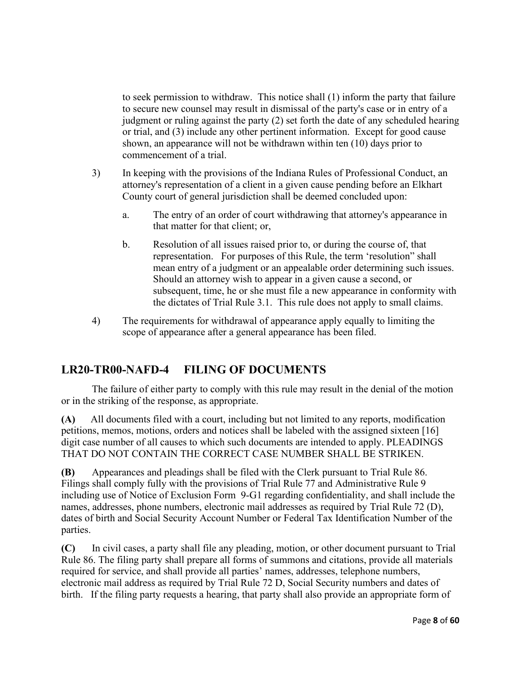to seek permission to withdraw. This notice shall (1) inform the party that failure to secure new counsel may result in dismissal of the party's case or in entry of a judgment or ruling against the party (2) set forth the date of any scheduled hearing or trial, and (3) include any other pertinent information. Except for good cause shown, an appearance will not be withdrawn within ten (10) days prior to commencement of a trial.

- 3) In keeping with the provisions of the Indiana Rules of Professional Conduct, an attorney's representation of a client in a given cause pending before an Elkhart County court of general jurisdiction shall be deemed concluded upon:
	- a. The entry of an order of court withdrawing that attorney's appearance in that matter for that client; or,
	- b. Resolution of all issues raised prior to, or during the course of, that representation. For purposes of this Rule, the term 'resolution" shall mean entry of a judgment or an appealable order determining such issues. Should an attorney wish to appear in a given cause a second, or subsequent, time, he or she must file a new appearance in conformity with the dictates of Trial Rule 3.1. This rule does not apply to small claims.
- 4) The requirements for withdrawal of appearance apply equally to limiting the scope of appearance after a general appearance has been filed.

## **LR20-TR00-NAFD-4 FILING OF DOCUMENTS**

The failure of either party to comply with this rule may result in the denial of the motion or in the striking of the response, as appropriate.

**(A)** All documents filed with a court, including but not limited to any reports, modification petitions, memos, motions, orders and notices shall be labeled with the assigned sixteen [16] digit case number of all causes to which such documents are intended to apply. PLEADINGS THAT DO NOT CONTAIN THE CORRECT CASE NUMBER SHALL BE STRIKEN.

**(B)** Appearances and pleadings shall be filed with the Clerk pursuant to Trial Rule 86. Filings shall comply fully with the provisions of Trial Rule 77 and Administrative Rule 9 including use of Notice of Exclusion Form 9-G1 regarding confidentiality, and shall include the names, addresses, phone numbers, electronic mail addresses as required by Trial Rule 72 (D), dates of birth and Social Security Account Number or Federal Tax Identification Number of the parties.

**(C)** In civil cases, a party shall file any pleading, motion, or other document pursuant to Trial Rule 86. The filing party shall prepare all forms of summons and citations, provide all materials required for service, and shall provide all parties' names, addresses, telephone numbers, electronic mail address as required by Trial Rule 72 D, Social Security numbers and dates of birth. If the filing party requests a hearing, that party shall also provide an appropriate form of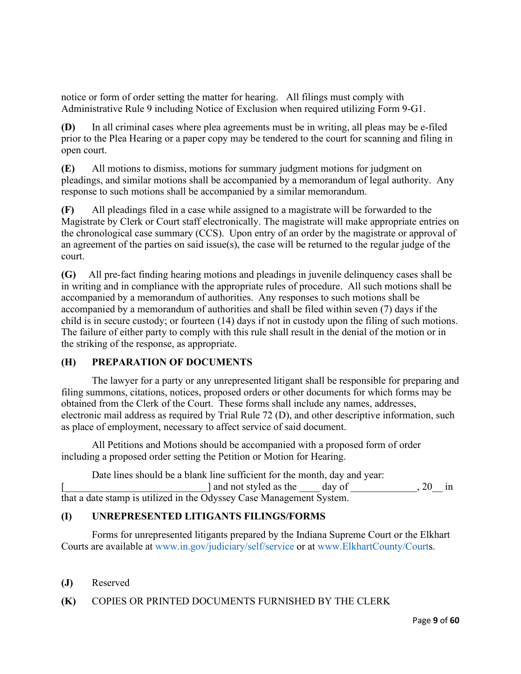notice or form of order setting the matter for hearing. All filings must comply with Administrative Rule 9 including Notice of Exclusion when required utilizing Form 9-G1.

**(D)** In all criminal cases where plea agreements must be in writing, all pleas may be e-filed prior to the Plea Hearing or a paper copy may be tendered to the court for scanning and filing in open court.

**(E)** All motions to dismiss, motions for summary judgment motions for judgment on pleadings, and similar motions shall be accompanied by a memorandum of legal authority. Any response to such motions shall be accompanied by a similar memorandum.

**(F)** All pleadings filed in a case while assigned to a magistrate will be forwarded to the Magistrate by Clerk or Court staff electronically. The magistrate will make appropriate entries on the chronological case summary (CCS). Upon entry of an order by the magistrate or approval of an agreement of the parties on said issue(s), the case will be returned to the regular judge of the court.

**(G)** All pre-fact finding hearing motions and pleadings in juvenile delinquency cases shall be in writing and in compliance with the appropriate rules of procedure. All such motions shall be accompanied by a memorandum of authorities. Any responses to such motions shall be accompanied by a memorandum of authorities and shall be filed within seven (7) days if the child is in secure custody; or fourteen (14) days if not in custody upon the filing of such motions. The failure of either party to comply with this rule shall result in the denial of the motion or in the striking of the response, as appropriate.

## **(H) PREPARATION OF DOCUMENTS**

The lawyer for a party or any unrepresented litigant shall be responsible for preparing and filing summons, citations, notices, proposed orders or other documents for which forms may be obtained from the Clerk of the Court. These forms shall include any names, addresses, electronic mail address as required by Trial Rule 72 (D), and other descriptive information, such as place of employment, necessary to affect service of said document.

All Petitions and Motions should be accompanied with a proposed form of order including a proposed order setting the Petition or Motion for Hearing.

Date lines should be a blank line sufficient for the month, day and year: ] and not styled as the day of  $\qquad \qquad$ , 20 in that a date stamp is utilized in the Odyssey Case Management System.

## **(I) UNREPRESENTED LITIGANTS FILINGS/FORMS**

Forms for unrepresented litigants prepared by the Indiana Supreme Court or the Elkhart Courts are available at [www.in.gov/judiciary/self/service](http://www.in.gov/judiciary/self/service) or at [www.ElkhartCounty/Courts](http://www.elkhartcounty/Court).

- **(J)** Reserved
- **(K)** COPIES OR PRINTED DOCUMENTS FURNISHED BY THE CLERK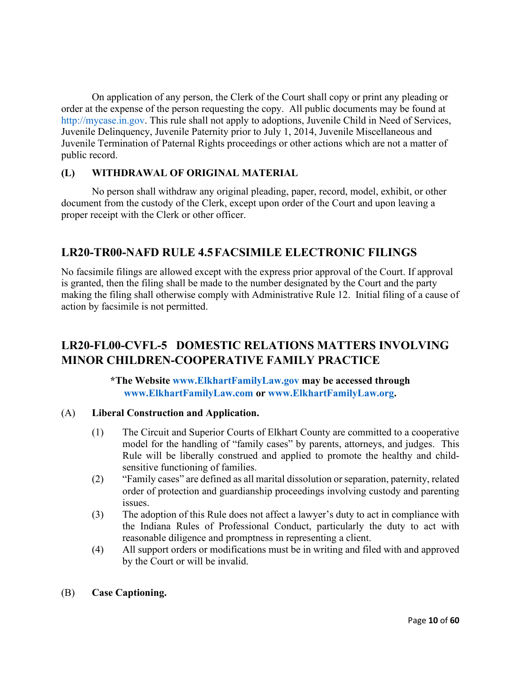On application of any person, the Clerk of the Court shall copy or print any pleading or order at the expense of the person requesting the copy. All public documents may be found at [http://mycase.in.gov.](http://mycase.in.gov/) This rule shall not apply to adoptions, Juvenile Child in Need of Services, Juvenile Delinquency, Juvenile Paternity prior to July 1, 2014, Juvenile Miscellaneous and Juvenile Termination of Paternal Rights proceedings or other actions which are not a matter of public record.

## **(L) WITHDRAWAL OF ORIGINAL MATERIAL**

No person shall withdraw any original pleading, paper, record, model, exhibit, or other document from the custody of the Clerk, except upon order of the Court and upon leaving a proper receipt with the Clerk or other officer.

## **LR20-TR00-NAFD RULE 4.5FACSIMILE ELECTRONIC FILINGS**

No facsimile filings are allowed except with the express prior approval of the Court. If approval is granted, then the filing shall be made to the number designated by the Court and the party making the filing shall otherwise comply with Administrative Rule 12. Initial filing of a cause of action by facsimile is not permitted.

# **LR20-FL00-CVFL-5 DOMESTIC RELATIONS MATTERS INVOLVING MINOR CHILDREN-COOPERATIVE FAMILY PRACTICE**

## **\*The Website [www.ElkhartFamilyLaw.gov](http://www.elkhartfamilylaw.gov/) may be accessed through [www.ElkhartFamilyLaw.com](http://www.elkhartfamilylaw.com/) or [www.ElkhartFamilyLaw.org.](http://www.elkhartfamilylaw.org/)**

## (A) **Liberal Construction and Application.**

- (1) The Circuit and Superior Courts of Elkhart County are committed to a cooperative model for the handling of "family cases" by parents, attorneys, and judges. This Rule will be liberally construed and applied to promote the healthy and childsensitive functioning of families.
- (2) "Family cases" are defined as all marital dissolution or separation, paternity, related order of protection and guardianship proceedings involving custody and parenting issues.
- (3) The adoption of this Rule does not affect a lawyer's duty to act in compliance with the Indiana Rules of Professional Conduct, particularly the duty to act with reasonable diligence and promptness in representing a client.
- (4) All support orders or modifications must be in writing and filed with and approved by the Court or will be invalid.

## (B) **Case Captioning.**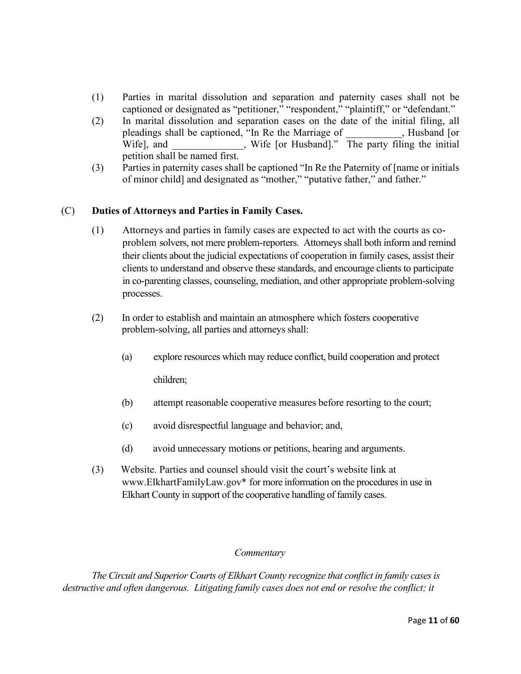- (1) Parties in marital dissolution and separation and paternity cases shall not be captioned or designated as "petitioner," "respondent," "plaintiff," or "defendant."
- (2) In marital dissolution and separation cases on the date of the initial filing, all pleadings shall be captioned, "In Re the Marriage of , Husband [or Wife], and \_\_\_\_\_\_\_\_\_\_\_\_, Wife [or Husband]." The party filing the initial petition shall be named first.
- (3) Parties in paternity cases shall be captioned "In Re the Paternity of [name or initials of minor child] and designated as "mother," "putative father," and father."

## (C) **Duties of Attorneys and Parties in Family Cases.**

- (1) Attorneys and parties in family cases are expected to act with the courts as coproblem solvers, not mere problem-reporters. Attorneys shall both inform and remind their clients about the judicial expectations of cooperation in family cases, assist their clients to understand and observe these standards, and encourage clients to participate in co-parenting classes, counseling, mediation, and other appropriate problem-solving processes.
- (2) In order to establish and maintain an atmosphere which fosters cooperative problem-solving, all parties and attorneys shall:
	- (a) explore resources which may reduce conflict, build cooperation and protect

children;

- (b) attempt reasonable cooperative measures before resorting to the court;
- (c) avoid disrespectful language and behavior; and,
- (d) avoid unnecessary motions or petitions, hearing and arguments.
- (3) Website. Parties and counsel should visit the court's website link at www.ElkhartFamilyLaw.gov\* for more information on the procedures in use in Elkhart County in support of the cooperative handling of family cases.

## *Commentary*

*The Circuit and Superior Courts of Elkhart County recognize that conflict in family cases is destructive and often dangerous. Litigating family cases does not end or resolve the conflict; it*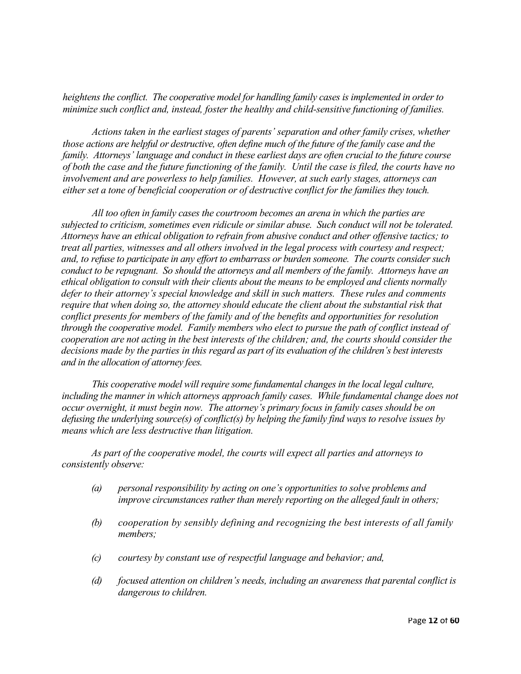*heightens the conflict. The cooperative model for handling family cases is implemented in order to minimize such conflict and, instead, foster the healthy and child-sensitive functioning of families.*

*Actions taken in the earliest stages of parents' separation and other family crises, whether those actions are helpful or destructive, often define much of the future of the family case and the family. Attorneys' language and conduct in these earliest days are often crucial to the future course of both the case and the future functioning of the family. Until the case is filed, the courts have no involvement and are powerless to help families. However, at such early stages, attorneys can either set a tone of beneficial cooperation or of destructive conflict for the families they touch.*

*All too often in family cases the courtroom becomes an arena in which the parties are subjected to criticism, sometimes even ridicule or similar abuse. Such conduct will not be tolerated. Attorneys have an ethical obligation to refrain from abusive conduct and other offensive tactics; to treat all parties, witnesses and all others involved in the legal process with courtesy and respect; and, to refuse to participate in any effort to embarrass or burden someone. The courts consider such conduct to be repugnant. So should the attorneys and all members of the family. Attorneys have an ethical obligation to consult with their clients about the means to be employed and clients normally defer to their attorney's special knowledge and skill in such matters. These rules and comments require that when doing so, the attorney should educate the client about the substantial risk that conflict presents for members of the family and of the benefits and opportunities for resolution through the cooperative model. Family members who elect to pursue the path of conflict instead of cooperation are not acting in the best interests of the children; and, the courts should consider the decisions made by the parties in this regard as part of its evaluation of the children's best interests and in the allocation of attorney fees.*

*This cooperative model will require some fundamental changes in the local legal culture,*  including the manner in which attorneys approach family cases. While fundamental change does not *occur overnight, it must begin now. The attorney's primary focus in family cases should be on defusing the underlying source(s) of conflict(s) by helping the family find ways to resolve issues by means which are less destructive than litigation.*

*As part of the cooperative model, the courts will expect all parties and attorneys to consistently observe:*

- *(a) personal responsibility by acting on one's opportunities to solve problems and improve circumstances rather than merely reporting on the alleged fault in others;*
- *(b) cooperation by sensibly defining and recognizing the best interests of all family members;*
- *(c) courtesy by constant use of respectful language and behavior; and,*
- *(d) focused attention on children's needs, including an awareness that parental conflict is dangerous to children.*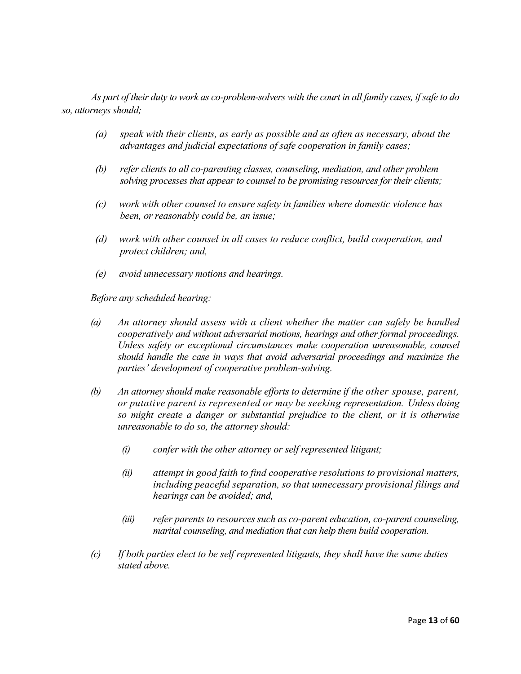*As part of their duty to work as co-problem-solvers with the court in all family cases, if safe to do so, attorneys should;*

- *(a) speak with their clients, as early as possible and as often as necessary, about the advantages and judicial expectations of safe cooperation in family cases;*
- *(b) refer clients to all co-parenting classes, counseling, mediation, and other problem solving processes that appear to counsel to be promising resources for their clients;*
- *(c) work with other counsel to ensure safety in families where domestic violence has been, or reasonably could be, an issue;*
- *(d) work with other counsel in all cases to reduce conflict, build cooperation, and protect children; and,*
- *(e) avoid unnecessary motions and hearings.*

*Before any scheduled hearing:*

- *(a) An attorney should assess with a client whether the matter can safely be handled cooperatively and without adversarial motions, hearings and other formal proceedings. Unless safety or exceptional circumstances make cooperation unreasonable, counsel should handle the case in ways that avoid adversarial proceedings and maximize the parties' development of cooperative problem-solving.*
- *(b) An attorney should make reasonable efforts to determine if the other spouse, parent, or putative parent is represented or may be seeking representation. Unless doing so might create a danger or substantial prejudice to the client, or it is otherwise unreasonable to do so, the attorney should:*
	- *(i) confer with the other attorney or self represented litigant;*
	- *(ii) attempt in good faith to find cooperative resolutions to provisional matters, including peaceful separation, so that unnecessary provisional filings and hearings can be avoided; and,*
	- *(iii) refer parents to resources such as co-parent education, co-parent counseling, marital counseling, and mediation that can help them build cooperation.*
- *(c) If both parties elect to be self represented litigants, they shall have the same duties stated above.*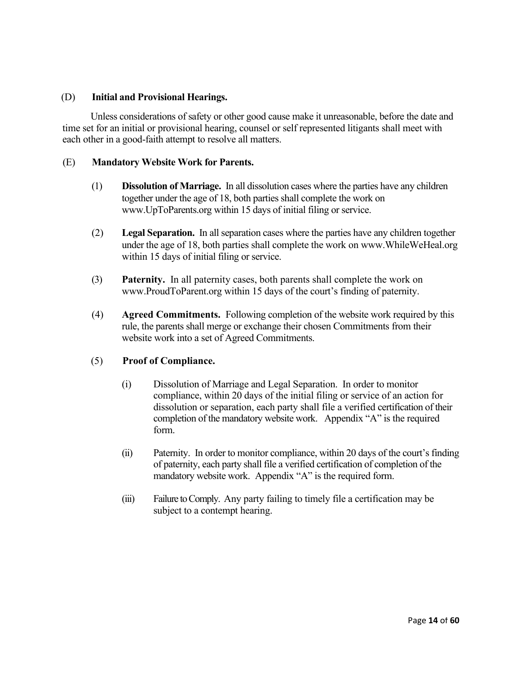#### (D) **Initial and Provisional Hearings.**

Unless considerations of safety or other good cause make it unreasonable, before the date and time set for an initial or provisional hearing, counsel or self represented litigants shall meet with each other in a good-faith attempt to resolve all matters.

#### (E) **Mandatory Website Work for Parents.**

- (1) **Dissolution of Marriage.** In all dissolution cases where the parties have any children together under the age of 18, both parties shall complete the work on www.UpToParents.org within 15 days of initial filing or service.
- (2) **Legal Separation.** In all separation cases where the parties have any children together under the age of 18, both parties shall complete the work on www.WhileWeHeal.org within 15 days of initial filing or service.
- (3) **Paternity.** In all paternity cases, both parents shall complete the work on www.ProudToParent.org within 15 days of the court's finding of paternity.
- (4) **Agreed Commitments.** Following completion of the website work required by this rule, the parents shall merge or exchange their chosen Commitments from their website work into a set of Agreed Commitments.

## (5) **Proof of Compliance.**

- (i) Dissolution of Marriage and Legal Separation. In order to monitor compliance, within 20 days of the initial filing or service of an action for dissolution or separation, each party shall file a verified certification of their completion of the mandatory website work. Appendix "A" is the required form.
- (ii) Paternity. In order to monitor compliance, within 20 days of the court's finding of paternity, each party shall file a verified certification of completion of the mandatory website work. Appendix "A" is the required form.
- (iii) Failure to Comply. Any party failing to timely file a certification may be subject to a contempt hearing.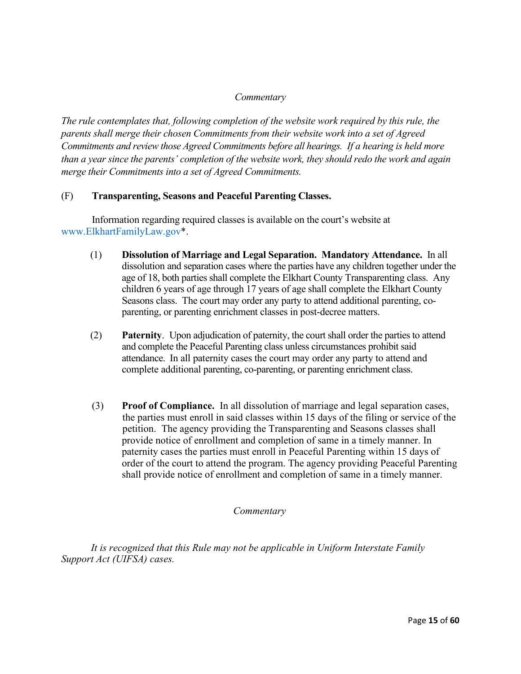## *Commentary*

*The rule contemplates that, following completion of the website work required by this rule, the parents shall merge their chosen Commitments from their website work into a set of Agreed Commitments and review those Agreed Commitments before all hearings. If a hearing is held more than a year since the parents' completion of the website work, they should redo the work and again merge their Commitments into a set of Agreed Commitments.*

## (F) **Transparenting, Seasons and Peaceful Parenting Classes.**

Information regarding required classes is available on the court's website at [www.ElkhartFamilyLaw.gov\\*](http://www.elkhartfamilylaw.gov/).

- (1) **Dissolution of Marriage and Legal Separation. Mandatory Attendance.** In all dissolution and separation cases where the parties have any children together under the age of 18, both parties shall complete the Elkhart County Transparenting class. Any children 6 years of age through 17 years of age shall complete the Elkhart County Seasons class. The court may order any party to attend additional parenting, coparenting, or parenting enrichment classes in post-decree matters.
- (2) **Paternity**. Upon adjudication of paternity, the court shall order the parties to attend and complete the Peaceful Parenting class unless circumstances prohibit said attendance. In all paternity cases the court may order any party to attend and complete additional parenting, co-parenting, or parenting enrichment class.
- (3) **Proof of Compliance.** In all dissolution of marriage and legal separation cases, the parties must enroll in said classes within 15 days of the filing or service of the petition. The agency providing the Transparenting and Seasons classes shall provide notice of enrollment and completion of same in a timely manner. In paternity cases the parties must enroll in Peaceful Parenting within 15 days of order of the court to attend the program. The agency providing Peaceful Parenting shall provide notice of enrollment and completion of same in a timely manner.

## *Commentary*

 *It is recognized that this Rule may not be applicable in Uniform Interstate Family Support Act (UIFSA) cases.*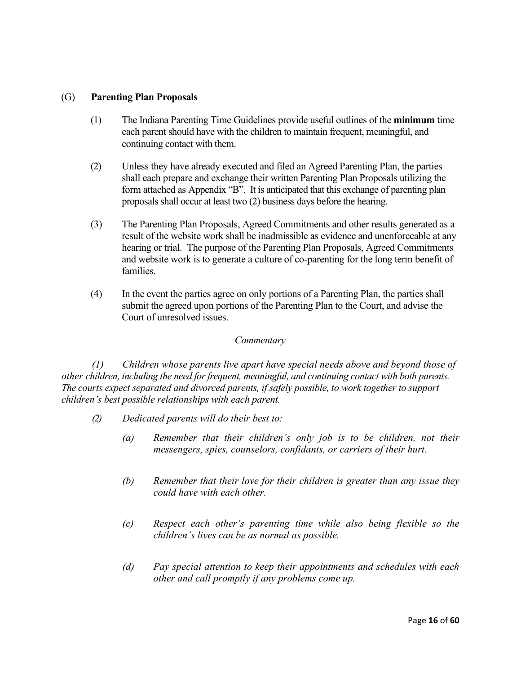## (G) **Parenting Plan Proposals**

- (1) The Indiana Parenting Time Guidelines provide useful outlines of the **minimum** time each parent should have with the children to maintain frequent, meaningful, and continuing contact with them.
- (2) Unless they have already executed and filed an Agreed Parenting Plan, the parties shall each prepare and exchange their written Parenting Plan Proposals utilizing the form attached as Appendix "B". It is anticipated that this exchange of parenting plan proposals shall occur at least two (2) business days before the hearing.
- (3) The Parenting Plan Proposals, Agreed Commitments and other results generated as a result of the website work shall be inadmissible as evidence and unenforceable at any hearing or trial. The purpose of the Parenting Plan Proposals, Agreed Commitments and website work is to generate a culture of co-parenting for the long term benefit of families.
- (4) In the event the parties agree on only portions of a Parenting Plan, the parties shall submit the agreed upon portions of the Parenting Plan to the Court, and advise the Court of unresolved issues.

## *Commentary*

*(1) Children whose parents live apart have special needs above and beyond those of other children, including the need for frequent, meaningful, and continuing contact with both parents. The courts expect separated and divorced parents, if safely possible, to work together to support children's best possible relationships with each parent.*

- *(2) Dedicated parents will do their best to:* 
	- *(a) Remember that their children's only job is to be children, not their messengers, spies, counselors, confidants, or carriers of their hurt.*
	- *(b) Remember that their love for their children is greater than any issue they could have with each other.*
	- *(c) Respect each other's parenting time while also being flexible so the children's lives can be as normal as possible.*
	- *(d) Pay special attention to keep their appointments and schedules with each other and call promptly if any problems come up.*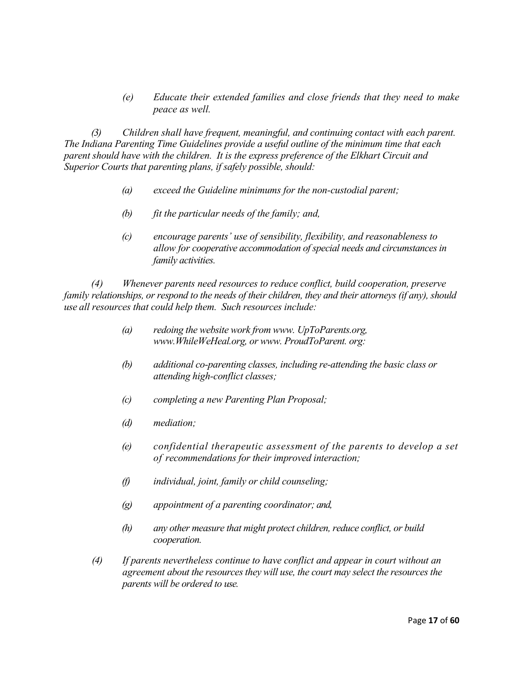*(e) Educate their extended families and close friends that they need to make peace as well.*

*(3) Children shall have frequent, meaningful, and continuing contact with each parent. The Indiana Parenting Time Guidelines provide a useful outline of the minimum time that each parent should have with the children. It is the express preference of the Elkhart Circuit and Superior Courts that parenting plans, if safely possible, should:*

- *(a) exceed the Guideline minimums for the non-custodial parent;*
- *(b) fit the particular needs of the family; and,*
- *(c) encourage parents' use of sensibility, flexibility, and reasonableness to allow for cooperative accommodation of special needs and circumstances in family activities.*

*(4) Whenever parents need resources to reduce conflict, build cooperation, preserve family relationships, or respond to the needs of their children, they and their attorneys (if any), should use all resources that could help them. Such resources include:*

- *(a) redoing the website work from www. UpToParents.org, www.WhileWeHeal.org, or www. ProudToParent. org:*
- *(b) additional co-parenting classes, including re-attending the basic class or attending high-conflict classes;*
- *(c) completing a new Parenting Plan Proposal;*
- *(d) mediation;*
- *(e) confidential therapeutic assessment of the parents to develop a set of recommendations for their improved interaction;*
- *(f) individual, joint, family or child counseling;*
- *(g) appointment of a parenting coordinator; and,*
- *(h) any other measure that might protect children, reduce conflict, or build cooperation.*
- *(4) If parents nevertheless continue to have conflict and appear in court without an agreement about the resources they will use, the court may select the resources the parents will be ordered to use.*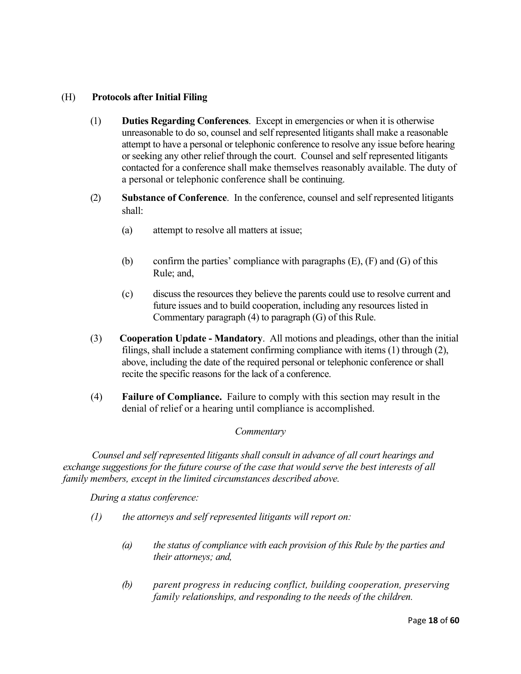## (H) **Protocols after Initial Filing**

- (1) **Duties Regarding Conferences**. Except in emergencies or when it is otherwise unreasonable to do so, counsel and self represented litigants shall make a reasonable attempt to have a personal or telephonic conference to resolve any issue before hearing or seeking any other relief through the court. Counsel and self represented litigants contacted for a conference shall make themselves reasonably available. The duty of a personal or telephonic conference shall be continuing.
- (2) **Substance of Conference**. In the conference, counsel and self represented litigants shall:
	- (a) attempt to resolve all matters at issue;
	- (b) confirm the parties' compliance with paragraphs  $(E)$ ,  $(F)$  and  $(G)$  of this Rule; and,
	- (c) discuss the resources they believe the parents could use to resolve current and future issues and to build cooperation, including any resources listed in Commentary paragraph (4) to paragraph (G) of this Rule.
- (3) **Cooperation Update Mandatory**. All motions and pleadings, other than the initial filings, shall include a statement confirming compliance with items (1) through (2), above, including the date of the required personal or telephonic conference or shall recite the specific reasons for the lack of a conference.
- (4) **Failure of Compliance.** Failure to comply with this section may result in the denial of relief or a hearing until compliance is accomplished.

## *Commentary*

*Counsel and self represented litigants shall consult in advance of all court hearings and exchange suggestions for the future course of the case that would serve the best interests of all family members, except in the limited circumstances described above.*

*During a status conference:*

- *(1) the attorneys and self represented litigants will report on:*
	- *(a) the status of compliance with each provision of this Rule by the parties and their attorneys; and,*
	- *(b) parent progress in reducing conflict, building cooperation, preserving family relationships, and responding to the needs of the children.*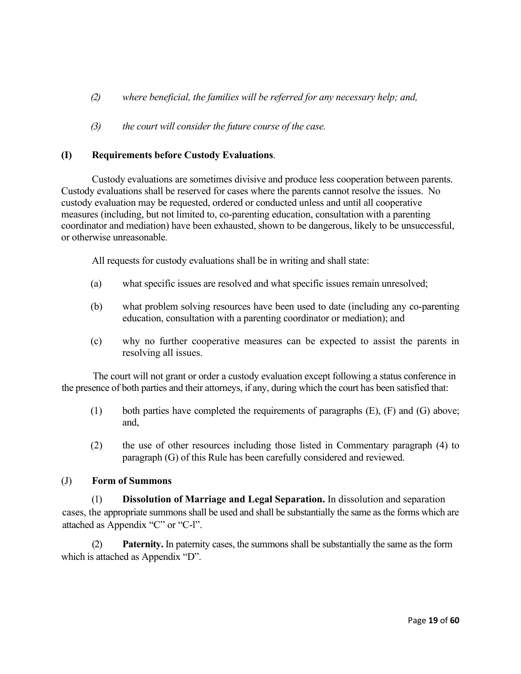- *(2) where beneficial, the families will be referred for any necessary help; and,*
- *(3) the court will consider the future course of the case.*

## **(I) Requirements before Custody Evaluations**.

Custody evaluations are sometimes divisive and produce less cooperation between parents. Custody evaluations shall be reserved for cases where the parents cannot resolve the issues. No custody evaluation may be requested, ordered or conducted unless and until all cooperative measures (including, but not limited to, co-parenting education, consultation with a parenting coordinator and mediation) have been exhausted, shown to be dangerous, likely to be unsuccessful, or otherwise unreasonable.

All requests for custody evaluations shall be in writing and shall state:

- (a) what specific issues are resolved and what specific issues remain unresolved;
- (b) what problem solving resources have been used to date (including any co-parenting education, consultation with a parenting coordinator or mediation); and
- (c) why no further cooperative measures can be expected to assist the parents in resolving all issues.

The court will not grant or order a custody evaluation except following a status conference in the presence of both parties and their attorneys, if any, during which the court has been satisfied that:

- (1) both parties have completed the requirements of paragraphs  $(E)$ ,  $(F)$  and  $(G)$  above; and,
- (2) the use of other resources including those listed in Commentary paragraph (4) to paragraph (G) of this Rule has been carefully considered and reviewed.

## (J) **Form of Summons**

(1) **Dissolution of Marriage and Legal Separation.** In dissolution and separation cases, the appropriate summons shall be used and shall be substantially the same as the forms which are attached as Appendix "C" or "C-l".

(2) **Paternity.** In paternity cases, the summons shall be substantially the same as the form which is attached as Appendix "D".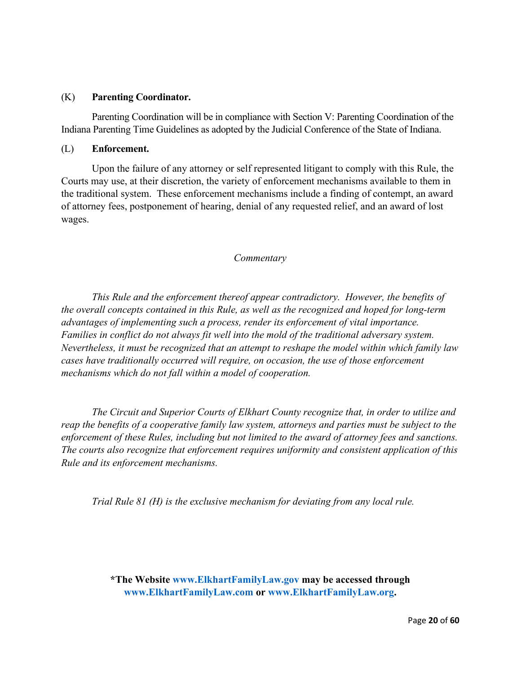#### (K) **Parenting Coordinator.**

Parenting Coordination will be in compliance with Section V: Parenting Coordination of the Indiana Parenting Time Guidelines as adopted by the Judicial Conference of the State of Indiana.

#### (L) **Enforcement.**

Upon the failure of any attorney or self represented litigant to comply with this Rule, the Courts may use, at their discretion, the variety of enforcement mechanisms available to them in the traditional system. These enforcement mechanisms include a finding of contempt, an award of attorney fees, postponement of hearing, denial of any requested relief, and an award of lost wages.

## *Commentary*

*This Rule and the enforcement thereof appear contradictory. However, the benefits of the overall concepts contained in this Rule, as well as the recognized and hoped for long-term advantages of implementing such a process, render its enforcement of vital importance. Families in conflict do not always fit well into the mold of the traditional adversary system. Nevertheless, it must be recognized that an attempt to reshape the model within which family law cases have traditionally occurred will require, on occasion, the use of those enforcement mechanisms which do not fall within a model of cooperation.*

*The Circuit and Superior Courts of Elkhart County recognize that, in order to utilize and reap the benefits of a cooperative family law system, attorneys and parties must be subject to the enforcement of these Rules, including but not limited to the award of attorney fees and sanctions. The courts also recognize that enforcement requires uniformity and consistent application of this Rule and its enforcement mechanisms.* 

*Trial Rule 81 (H) is the exclusive mechanism for deviating from any local rule.*

**\*The Website [www.ElkhartFamilyLaw.gov](http://www.elkhartfamilylaw.gov/) may be accessed through [www.ElkhartFamilyLaw.com](http://www.elkhartfamilylaw.com/) or [www.ElkhartFamilyLaw.org.](http://www.elkhartfamilylaw.org/)**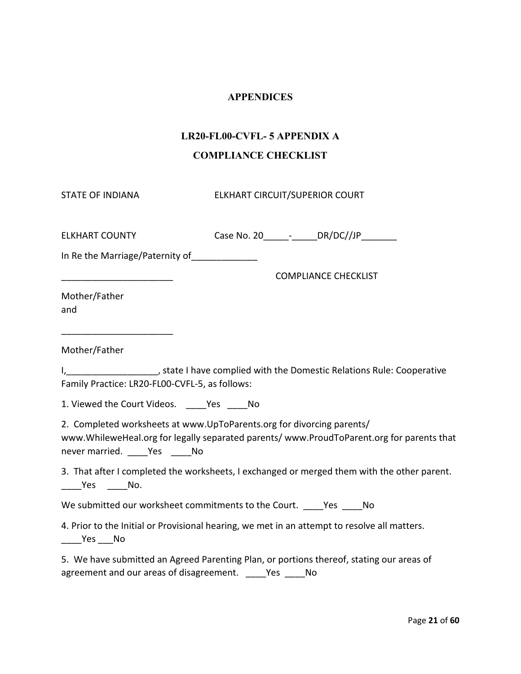#### **APPENDICES**

# **LR20-FL00-CVFL- 5 APPENDIX A COMPLIANCE CHECKLIST**

STATE OF INDIANA ELKHART CIRCUIT/SUPERIOR COURT

ELKHART COUNTY Case No. 20\_\_\_\_\_\_\_\_\_\_DR/DC//JP

In Re the Marriage/Paternity of

\_\_\_\_\_\_\_\_\_\_\_\_\_\_\_\_\_\_\_\_\_\_ COMPLIANCE CHECKLIST

Mother/Father and

## Mother/Father

\_\_\_\_\_\_\_\_\_\_\_\_\_\_\_\_\_\_\_\_\_\_

I,\_\_\_\_\_\_\_\_\_\_\_\_\_\_\_\_\_\_, state I have complied with the Domestic Relations Rule: Cooperative Family Practice: LR20-FL00-CVFL-5, as follows:

1. Viewed the Court Videos. Pres No

2. Completed worksheets at www.UpToParents.org for divorcing parents/ www.WhileweHeal.org for legally separated parents/ www.ProudToParent.org for parents that never married. \_\_\_\_\_Yes \_\_\_\_\_\_No

3. That after I completed the worksheets, I exchanged or merged them with the other parent.  $\rule{1em}{0.15mm}$   $\qquad$   $\qquad$   $\qquad$   $\qquad$   $\qquad$   $\qquad$   $\qquad$   $\qquad$   $\qquad$   $\qquad$   $\qquad$   $\qquad$   $\qquad$   $\qquad$   $\qquad$   $\qquad$   $\qquad$   $\qquad$   $\qquad$   $\qquad$   $\qquad$   $\qquad$   $\qquad$   $\qquad$   $\qquad$   $\qquad$   $\qquad$   $\qquad$   $\qquad$   $\qquad$   $\qquad$   $\qquad$   $\qquad$   $\qquad$   $\$ 

We submitted our worksheet commitments to the Court. Yes No

4. Prior to the Initial or Provisional hearing, we met in an attempt to resolve all matters. \_\_\_\_Yes \_\_\_No

| 5. We have submitted an Agreed Parenting Plan, or portions thereof, stating our areas of |     |    |  |
|------------------------------------------------------------------------------------------|-----|----|--|
| agreement and our areas of disagreement.                                                 | Yes | N∩ |  |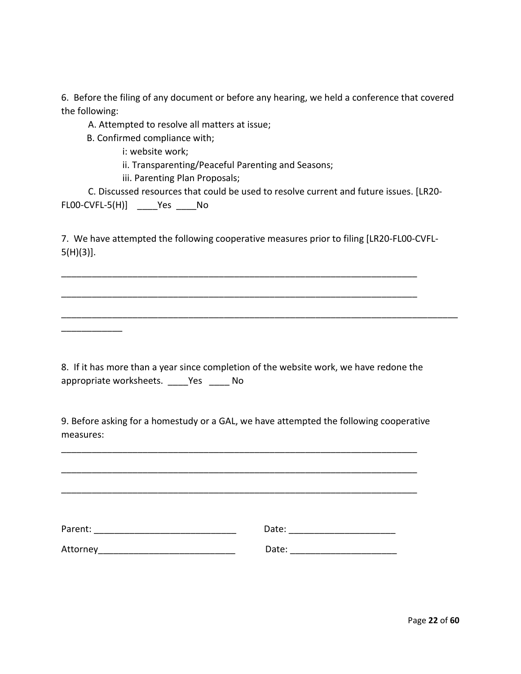6. Before the filing of any document or before any hearing, we held a conference that covered the following:

A. Attempted to resolve all matters at issue;

B. Confirmed compliance with;

i: website work;

\_\_\_\_\_\_\_\_\_\_\_\_

- ii. Transparenting/Peaceful Parenting and Seasons;
- iii. Parenting Plan Proposals;

C. Discussed resources that could be used to resolve current and future issues. [LR20- FL00-CVFL-5(H)] \_\_\_\_Yes \_\_\_\_No

7. We have attempted the following cooperative measures prior to filing [LR20-FL00-CVFL-5(H)(3)].

\_\_\_\_\_\_\_\_\_\_\_\_\_\_\_\_\_\_\_\_\_\_\_\_\_\_\_\_\_\_\_\_\_\_\_\_\_\_\_\_\_\_\_\_\_\_\_\_\_\_\_\_\_\_\_\_\_\_\_\_\_\_\_\_\_\_\_\_\_\_\_\_\_\_\_\_\_\_

\_\_\_\_\_\_\_\_\_\_\_\_\_\_\_\_\_\_\_\_\_\_\_\_\_\_\_\_\_\_\_\_\_\_\_\_\_\_\_\_\_\_\_\_\_\_\_\_\_\_\_\_\_\_\_\_\_\_\_\_\_\_\_\_\_\_\_\_\_\_

\_\_\_\_\_\_\_\_\_\_\_\_\_\_\_\_\_\_\_\_\_\_\_\_\_\_\_\_\_\_\_\_\_\_\_\_\_\_\_\_\_\_\_\_\_\_\_\_\_\_\_\_\_\_\_\_\_\_\_\_\_\_\_\_\_\_\_\_\_\_

8. If it has more than a year since completion of the website work, we have redone the appropriate worksheets. \_\_\_\_Yes \_\_\_\_ No

9. Before asking for a homestudy or a GAL, we have attempted the following cooperative measures:

\_\_\_\_\_\_\_\_\_\_\_\_\_\_\_\_\_\_\_\_\_\_\_\_\_\_\_\_\_\_\_\_\_\_\_\_\_\_\_\_\_\_\_\_\_\_\_\_\_\_\_\_\_\_\_\_\_\_\_\_\_\_\_\_\_\_\_\_\_\_

\_\_\_\_\_\_\_\_\_\_\_\_\_\_\_\_\_\_\_\_\_\_\_\_\_\_\_\_\_\_\_\_\_\_\_\_\_\_\_\_\_\_\_\_\_\_\_\_\_\_\_\_\_\_\_\_\_\_\_\_\_\_\_\_\_\_\_\_\_\_

\_\_\_\_\_\_\_\_\_\_\_\_\_\_\_\_\_\_\_\_\_\_\_\_\_\_\_\_\_\_\_\_\_\_\_\_\_\_\_\_\_\_\_\_\_\_\_\_\_\_\_\_\_\_\_\_\_\_\_\_\_\_\_\_\_\_\_\_\_\_

| Parent:  | Date: |  |  |
|----------|-------|--|--|
| Attorney | Date: |  |  |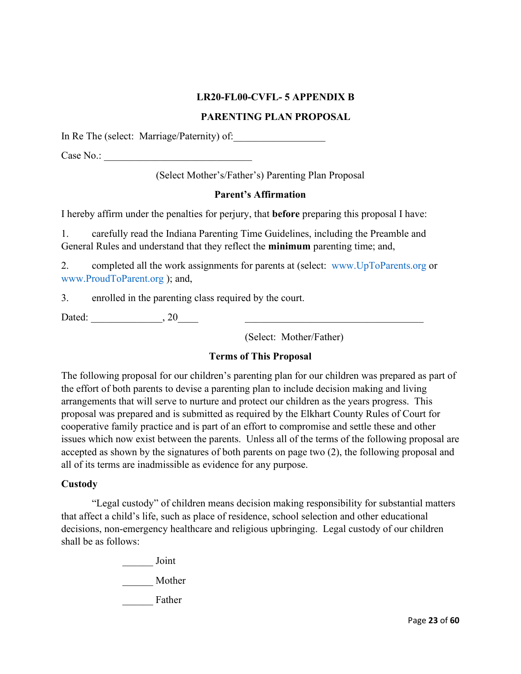## **LR20-FL00-CVFL- 5 APPENDIX B**

## **PARENTING PLAN PROPOSAL**

In Re The (select: Marriage/Paternity) of:

Case No.:

(Select Mother's/Father's) Parenting Plan Proposal

## **Parent's Affirmation**

I hereby affirm under the penalties for perjury, that **before** preparing this proposal I have:

1. carefully read the Indiana Parenting Time Guidelines, including the Preamble and General Rules and understand that they reflect the **minimum** parenting time; and,

2. completed all the work assignments for parents at (select: [www.UpToParents.org](http://www.uptoparents.org/) or [www.ProudToParent.org](http://www.proudtoparent.org/) ); and,

3. enrolled in the parenting class required by the court.

Dated: \_\_\_\_\_\_\_\_\_\_\_\_\_\_, 20\_\_\_\_ \_\_\_\_\_\_\_\_\_\_\_\_\_\_\_\_\_\_\_\_\_\_\_\_\_\_\_\_\_\_\_\_\_\_\_

(Select: Mother/Father)

## **Terms of This Proposal**

The following proposal for our children's parenting plan for our children was prepared as part of the effort of both parents to devise a parenting plan to include decision making and living arrangements that will serve to nurture and protect our children as the years progress. This proposal was prepared and is submitted as required by the Elkhart County Rules of Court for cooperative family practice and is part of an effort to compromise and settle these and other issues which now exist between the parents. Unless all of the terms of the following proposal are accepted as shown by the signatures of both parents on page two (2), the following proposal and all of its terms are inadmissible as evidence for any purpose.

## **Custody**

"Legal custody" of children means decision making responsibility for substantial matters that affect a child's life, such as place of residence, school selection and other educational decisions, non-emergency healthcare and religious upbringing. Legal custody of our children shall be as follows:

> \_\_\_\_\_\_ Joint \_\_\_\_\_\_ Mother Father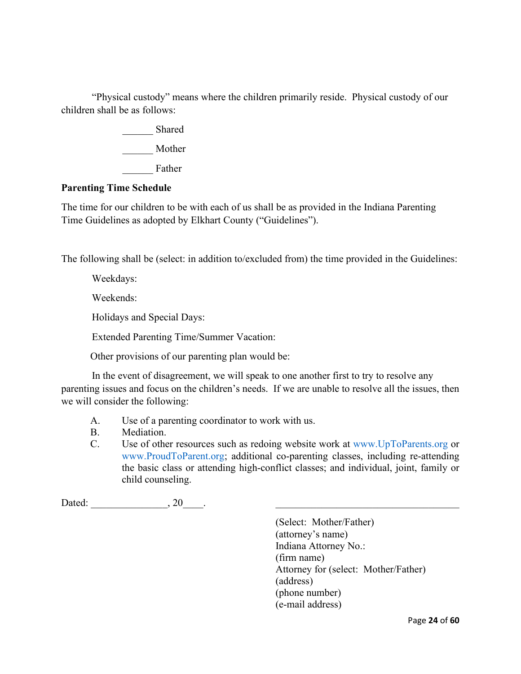"Physical custody" means where the children primarily reside. Physical custody of our children shall be as follows:

> \_\_\_\_\_\_\_\_ Shared \_\_\_\_\_\_ Mother

Father

## **Parenting Time Schedule**

The time for our children to be with each of us shall be as provided in the Indiana Parenting Time Guidelines as adopted by Elkhart County ("Guidelines").

The following shall be (select: in addition to/excluded from) the time provided in the Guidelines:

Weekdays:

Weekends:

Holidays and Special Days:

Extended Parenting Time/Summer Vacation:

Other provisions of our parenting plan would be:

In the event of disagreement, we will speak to one another first to try to resolve any parenting issues and focus on the children's needs. If we are unable to resolve all the issues, then we will consider the following:

- A. Use of a parenting coordinator to work with us.
- B. Mediation.
- C. Use of other resources such as redoing website work at [www.UpToParents.org](http://www.uptoparents.org/) or [www.ProudToParent.org;](http://www.proudtoparent.org/) additional co-parenting classes, including re-attending the basic class or attending high-conflict classes; and individual, joint, family or child counseling.

Dated: \_\_\_\_\_\_\_\_\_\_\_\_\_\_\_, 20\_\_\_\_. \_\_\_\_\_\_\_\_\_\_\_\_\_\_\_\_\_\_\_\_\_\_\_\_\_\_\_\_\_\_\_\_\_\_\_\_

(Select: Mother/Father) (attorney's name) Indiana Attorney No.: (firm name) Attorney for (select: Mother/Father) (address) (phone number) (e-mail address)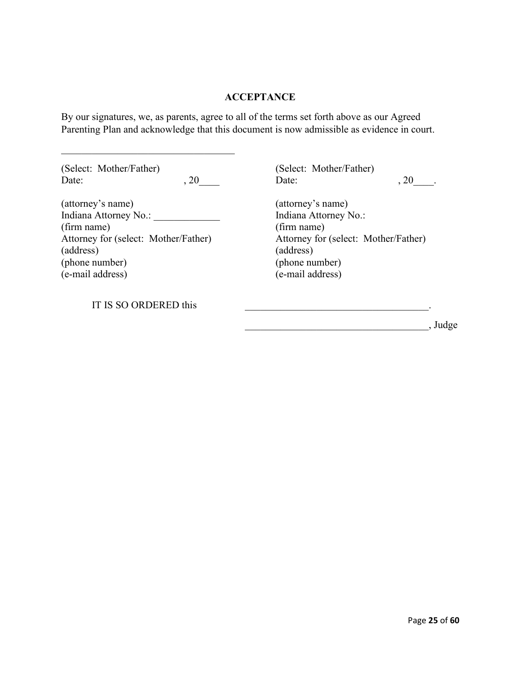## **ACCEPTANCE**

By our signatures, we, as parents, agree to all of the terms set forth above as our Agreed Parenting Plan and acknowledge that this document is now admissible as evidence in court.

| (Select: Mother/Father)              |      | (Select: Mother/Father)              |  |
|--------------------------------------|------|--------------------------------------|--|
| Date:                                | , 20 | .20<br>Date:                         |  |
| (attorney's name)                    |      | (attorney's name)                    |  |
| Indiana Attorney No.:                |      | Indiana Attorney No.:                |  |
| (firm name)                          |      | (firm name)                          |  |
| Attorney for (select: Mother/Father) |      | Attorney for (select: Mother/Father) |  |
| (address)                            |      | (address)                            |  |
| (phone number)                       |      | (phone number)                       |  |
| (e-mail address)                     |      | (e-mail address)                     |  |
| IT IS SO ORDERED this                |      |                                      |  |

\_\_\_\_\_\_\_\_\_\_\_\_\_\_\_\_\_\_\_\_\_\_\_\_\_\_\_\_\_\_\_\_\_\_\_\_, Judge

Page **25** of **60**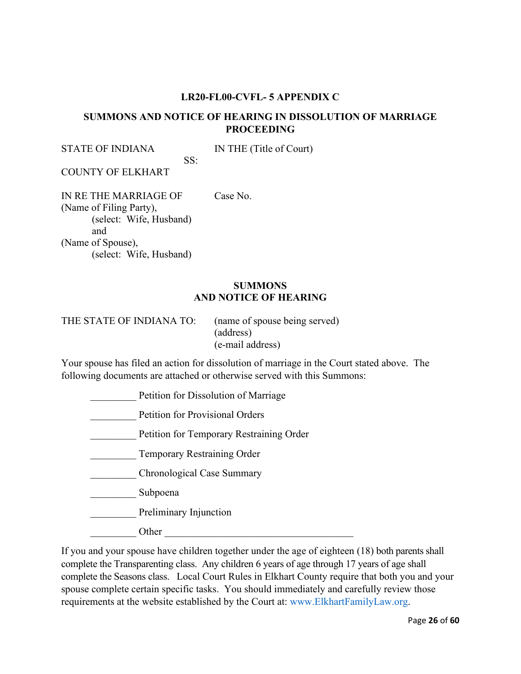#### **LR20-FL00-CVFL- 5 APPENDIX C**

## **SUMMONS AND NOTICE OF HEARING IN DISSOLUTION OF MARRIAGE PROCEEDING**

STATE OF INDIANA IN THE (Title of Court)

SS:

COUNTY OF ELKHART

IN RE THE MARRIAGE OF Case No. (Name of Filing Party), (select: Wife, Husband) and (Name of Spouse), (select: Wife, Husband)

## **SUMMONS AND NOTICE OF HEARING**

THE STATE OF INDIANA TO: (name of spouse being served)

(address) (e-mail address)

Your spouse has filed an action for dissolution of marriage in the Court stated above. The following documents are attached or otherwise served with this Summons:

Petition for Dissolution of Marriage \_\_\_\_\_\_\_\_\_ Petition for Provisional Orders Petition for Temporary Restraining Order \_\_\_\_\_\_\_\_\_ Temporary Restraining Order \_\_\_\_\_\_\_\_\_ Chronological Case Summary \_\_\_\_\_\_\_\_\_ Subpoena \_\_\_\_\_\_\_\_\_ Preliminary Injunction \_\_\_\_\_\_\_\_\_ Other \_\_\_\_\_\_\_\_\_\_\_\_\_\_\_\_\_\_\_\_\_\_\_\_\_\_\_\_\_\_\_\_\_\_\_\_\_

If you and your spouse have children together under the age of eighteen (18) both parents shall complete the Transparenting class. Any children 6 years of age through 17 years of age shall complete the Seasons class. Local Court Rules in Elkhart County require that both you and your spouse complete certain specific tasks. You should immediately and carefully review those requirements at the website established by the Court at: [www.ElkhartFamilyLaw.org.](http://www.elkhartfamilylaw.org/)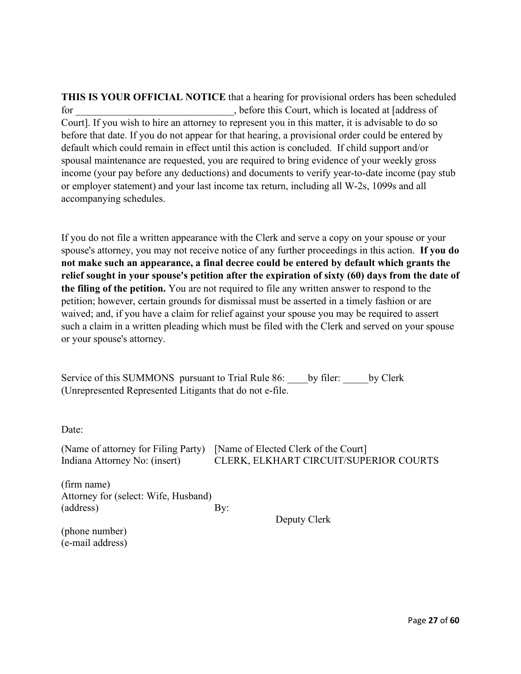**THIS IS YOUR OFFICIAL NOTICE** that a hearing for provisional orders has been scheduled for for this Court, which is located at [address of Court]. If you wish to hire an attorney to represent you in this matter, it is advisable to do so before that date. If you do not appear for that hearing, a provisional order could be entered by default which could remain in effect until this action is concluded. If child support and/or spousal maintenance are requested, you are required to bring evidence of your weekly gross income (your pay before any deductions) and documents to verify year-to-date income (pay stub or employer statement) and your last income tax return, including all W-2s, 1099s and all accompanying schedules.

If you do not file a written appearance with the Clerk and serve a copy on your spouse or your spouse's attorney, you may not receive notice of any further proceedings in this action. **If you do not make such an appearance, a final decree could be entered by default which grants the relief sought in your spouse's petition after the expiration of sixty (60) days from the date of the filing of the petition.** You are not required to file any written answer to respond to the petition; however, certain grounds for dismissal must be asserted in a timely fashion or are waived; and, if you have a claim for relief against your spouse you may be required to assert such a claim in a written pleading which must be filed with the Clerk and served on your spouse or your spouse's attorney.

Service of this SUMMONS pursuant to Trial Rule 86: by filer: by Clerk (Unrepresented Represented Litigants that do not e-file.

Date:

(Name of attorney for Filing Party) [Name of Elected Clerk of the Court]

Indiana Attorney No: (insert) CLERK, ELKHART CIRCUIT/SUPERIOR COURTS

(firm name) Attorney for (select: Wife, Husband) (address) By:

Deputy Clerk

(phone number) (e-mail address)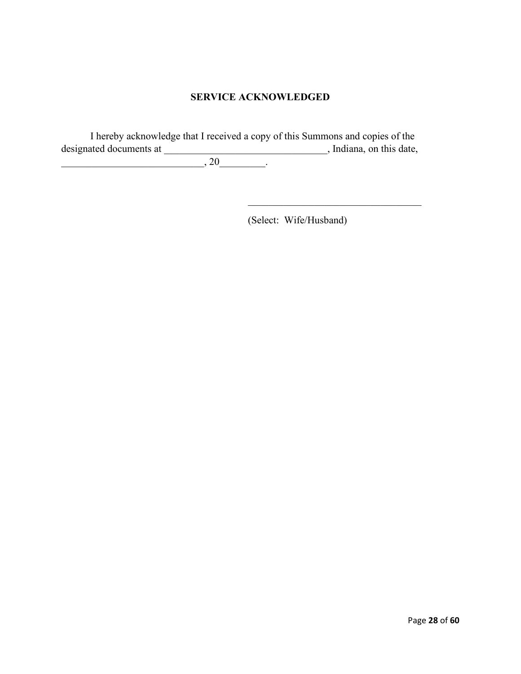## **SERVICE ACKNOWLEDGED**

I hereby acknowledge that I received a copy of this Summons and copies of the designated documents at \_\_\_\_\_\_\_\_\_\_\_\_\_\_\_\_\_\_\_\_\_\_\_\_\_\_\_\_\_\_\_\_, Indiana, on this date,  $\overline{\phantom{a}}$ , 20 $\overline{\phantom{a}}$ .

(Select: Wife/Husband)

 $\mathcal{L}_\mathcal{L}$  , which is a set of the set of the set of the set of the set of the set of the set of the set of the set of the set of the set of the set of the set of the set of the set of the set of the set of the set of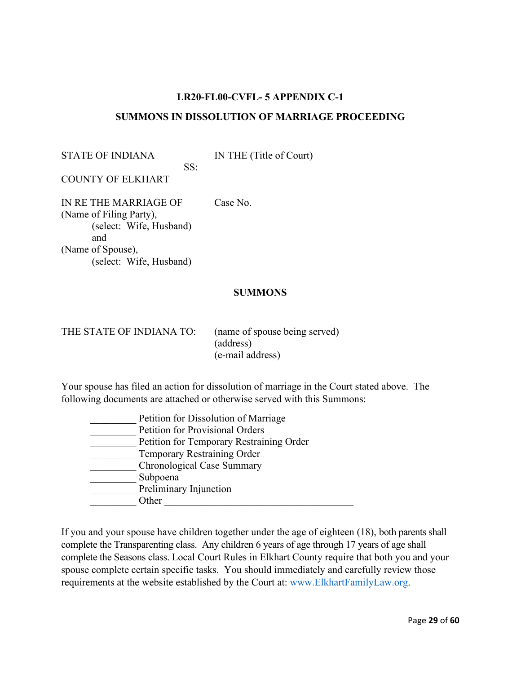#### **LR20-FL00-CVFL- 5 APPENDIX C-1**

#### **SUMMONS IN DISSOLUTION OF MARRIAGE PROCEEDING**

STATE OF INDIANA IN THE (Title of Court)

COUNTY OF ELKHART

IN RE THE MARRIAGE OF Case No. (Name of Filing Party), (select: Wife, Husband) and (Name of Spouse), (select: Wife, Husband)

SS:

#### **SUMMONS**

THE STATE OF INDIANA TO: (name of spouse being served) (address) (e-mail address)

Your spouse has filed an action for dissolution of marriage in the Court stated above. The following documents are attached or otherwise served with this Summons:

| Petition for Dissolution of Marriage     |
|------------------------------------------|
| <b>Petition for Provisional Orders</b>   |
| Petition for Temporary Restraining Order |
| <b>Temporary Restraining Order</b>       |
| Chronological Case Summary               |
| Subpoena                                 |
| Preliminary Injunction                   |
| Other                                    |

If you and your spouse have children together under the age of eighteen (18), both parents shall complete the Transparenting class. Any children 6 years of age through 17 years of age shall complete the Seasons class. Local Court Rules in Elkhart County require that both you and your spouse complete certain specific tasks. You should immediately and carefully review those requirements at the website established by the Court at: [www.ElkhartFamilyLaw.org.](http://www.elkhartfamilylaw.org/)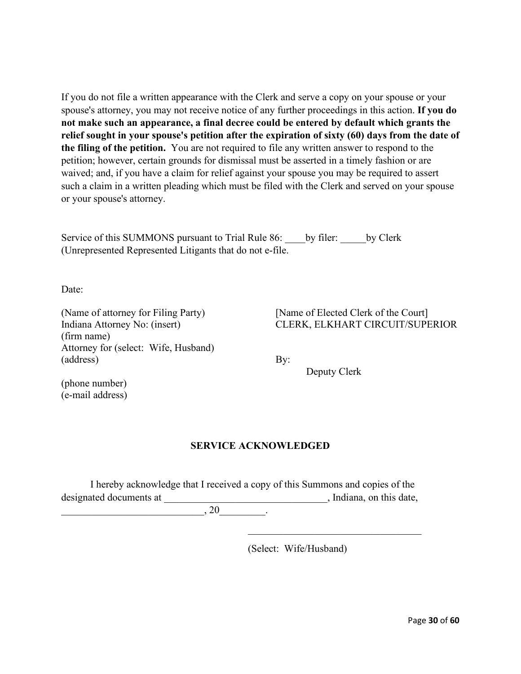If you do not file a written appearance with the Clerk and serve a copy on your spouse or your spouse's attorney, you may not receive notice of any further proceedings in this action. **If you do not make such an appearance, a final decree could be entered by default which grants the relief sought in your spouse's petition after the expiration of sixty (60) days from the date of the filing of the petition.** You are not required to file any written answer to respond to the petition; however, certain grounds for dismissal must be asserted in a timely fashion or are waived; and, if you have a claim for relief against your spouse you may be required to assert such a claim in a written pleading which must be filed with the Clerk and served on your spouse or your spouse's attorney.

Service of this SUMMONS pursuant to Trial Rule 86: by filer: by Clerk (Unrepresented Represented Litigants that do not e-file.

Date:

(firm name) Attorney for (select: Wife, Husband) (address) By:

(Name of attorney for Filing Party) [Name of Elected Clerk of the Court] Indiana Attorney No: (insert) CLERK, ELKHART CIRCUIT/SUPERIOR

Deputy Clerk

(phone number) (e-mail address)

## **SERVICE ACKNOWLEDGED**

I hereby acknowledge that I received a copy of this Summons and copies of the designated documents at  $\qquad \qquad$ , Indiana, on this date,  $, 20$   $.$ 

(Select: Wife/Husband)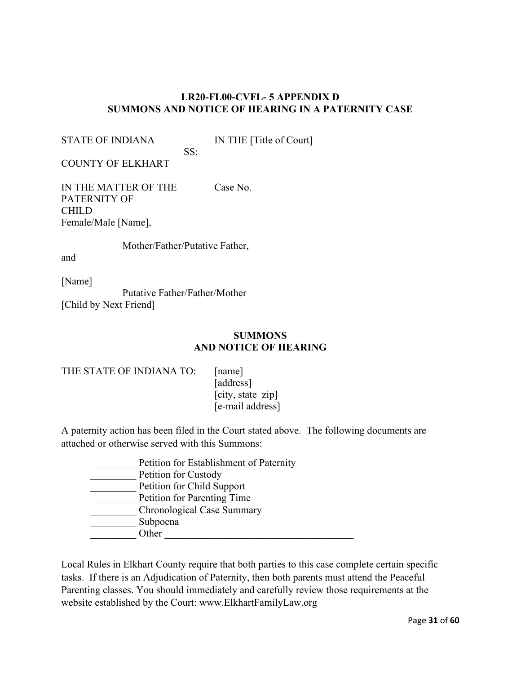## **LR20-FL00-CVFL- 5 APPENDIX D SUMMONS AND NOTICE OF HEARING IN A PATERNITY CASE**

STATE OF INDIANA IN THE [Title of Court]

SS:

COUNTY OF ELKHART

IN THE MATTER OF THE Case No. PATERNITY OF CHILD Female/Male [Name],

Mother/Father/Putative Father,

and

[Name]

Putative Father/Father/Mother [Child by Next Friend]

## **SUMMONS AND NOTICE OF HEARING**

THE STATE OF INDIANA TO: [name]

[address] [city, state zip] [e-mail address]

A paternity action has been filed in the Court stated above. The following documents are attached or otherwise served with this Summons:

| Petition for Establishment of Paternity |
|-----------------------------------------|
| Petition for Custody                    |
| Petition for Child Support              |
| Petition for Parenting Time             |
| Chronological Case Summary              |
| Subpoena                                |
| ∩ther                                   |

Local Rules in Elkhart County require that both parties to this case complete certain specific tasks. If there is an Adjudication of Paternity, then both parents must attend the Peaceful Parenting classes. You should immediately and carefully review those requirements at the website established by the Court: www.ElkhartFamilyLaw.org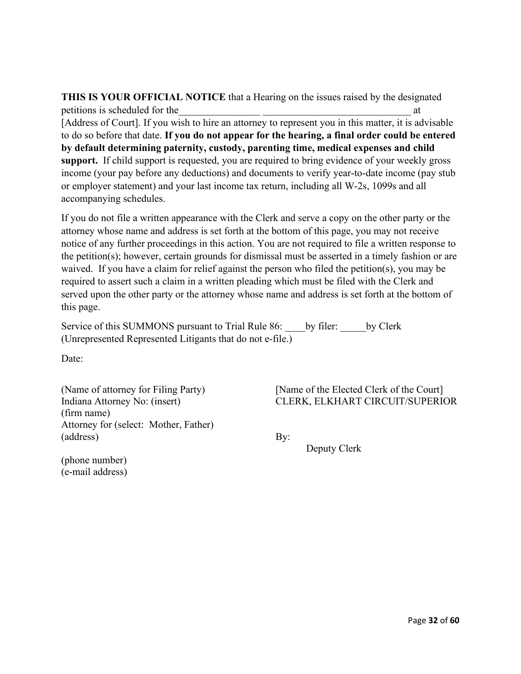**THIS IS YOUR OFFICIAL NOTICE** that a Hearing on the issues raised by the designated petitions is scheduled for the quantum state of  $\alpha$  at  $\alpha$ 

[Address of Court]. If you wish to hire an attorney to represent you in this matter, it is advisable to do so before that date. **If you do not appear for the hearing, a final order could be entered by default determining paternity, custody, parenting time, medical expenses and child support.** If child support is requested, you are required to bring evidence of your weekly gross income (your pay before any deductions) and documents to verify year-to-date income (pay stub or employer statement) and your last income tax return, including all W-2s, 1099s and all accompanying schedules.

If you do not file a written appearance with the Clerk and serve a copy on the other party or the attorney whose name and address is set forth at the bottom of this page, you may not receive notice of any further proceedings in this action. You are not required to file a written response to the petition(s); however, certain grounds for dismissal must be asserted in a timely fashion or are waived. If you have a claim for relief against the person who filed the petition(s), you may be required to assert such a claim in a written pleading which must be filed with the Clerk and served upon the other party or the attorney whose name and address is set forth at the bottom of this page.

Service of this SUMMONS pursuant to Trial Rule 86: by filer: by Clerk (Unrepresented Represented Litigants that do not e-file.)

Date:

(firm name) Attorney for (select: Mother, Father) (address) By:

(phone number) (e-mail address)

(Name of attorney for Filing Party) [Name of the Elected Clerk of the Court] Indiana Attorney No: (insert) CLERK, ELKHART CIRCUIT/SUPERIOR

Deputy Clerk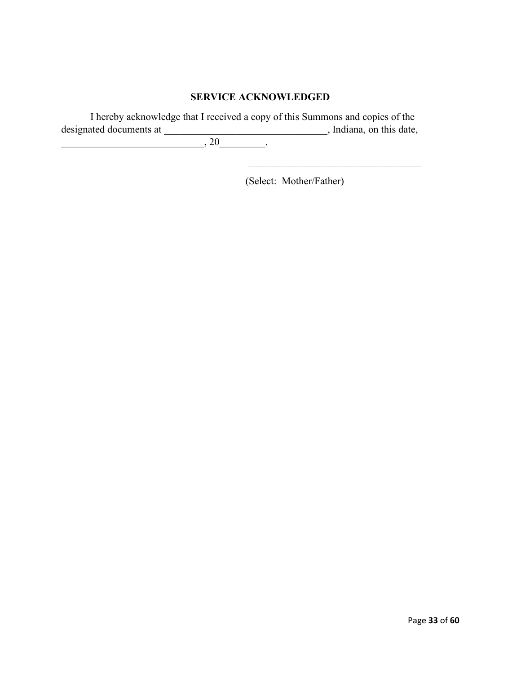## **SERVICE ACKNOWLEDGED**

I hereby acknowledge that I received a copy of this Summons and copies of the designated documents at \_\_\_\_\_\_\_\_\_\_\_\_\_\_\_\_\_\_\_\_\_\_\_\_\_\_\_\_\_\_\_\_, Indiana, on this date,  $, 20$ 

 $\mathcal{L}_\mathcal{L}$  , which is a set of the set of the set of the set of the set of the set of the set of the set of the set of the set of the set of the set of the set of the set of the set of the set of the set of the set of

(Select: Mother/Father)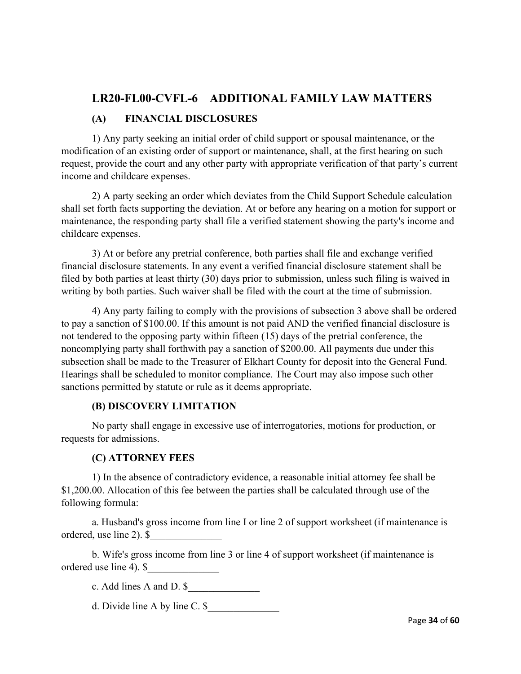# **LR20-FL00-CVFL-6 ADDITIONAL FAMILY LAW MATTERS**

## **(A) FINANCIAL DISCLOSURES**

1) Any party seeking an initial order of child support or spousal maintenance, or the modification of an existing order of support or maintenance, shall, at the first hearing on such request, provide the court and any other party with appropriate verification of that party's current income and childcare expenses.

2) A party seeking an order which deviates from the Child Support Schedule calculation shall set forth facts supporting the deviation. At or before any hearing on a motion for support or maintenance, the responding party shall file a verified statement showing the party's income and childcare expenses.

3) At or before any pretrial conference, both parties shall file and exchange verified financial disclosure statements. In any event a verified financial disclosure statement shall be filed by both parties at least thirty (30) days prior to submission, unless such filing is waived in writing by both parties. Such waiver shall be filed with the court at the time of submission.

4) Any party failing to comply with the provisions of subsection 3 above shall be ordered to pay a sanction of \$100.00. If this amount is not paid AND the verified financial disclosure is not tendered to the opposing party within fifteen (15) days of the pretrial conference, the noncomplying party shall forthwith pay a sanction of \$200.00. All payments due under this subsection shall be made to the Treasurer of Elkhart County for deposit into the General Fund. Hearings shall be scheduled to monitor compliance. The Court may also impose such other sanctions permitted by statute or rule as it deems appropriate.

## **(B) DISCOVERY LIMITATION**

No party shall engage in excessive use of interrogatories, motions for production, or requests for admissions.

## **(C) ATTORNEY FEES**

1) In the absence of contradictory evidence, a reasonable initial attorney fee shall be \$1,200.00. Allocation of this fee between the parties shall be calculated through use of the following formula:

a. Husband's gross income from line I or line 2 of support worksheet (if maintenance is ordered, use line 2). \$\_\_\_\_\_\_\_\_\_\_\_\_\_\_

b. Wife's gross income from line 3 or line 4 of support worksheet (if maintenance is ordered use line 4). \$

c. Add lines A and D.  $\frac{1}{2}$ 

d. Divide line A by line C. \$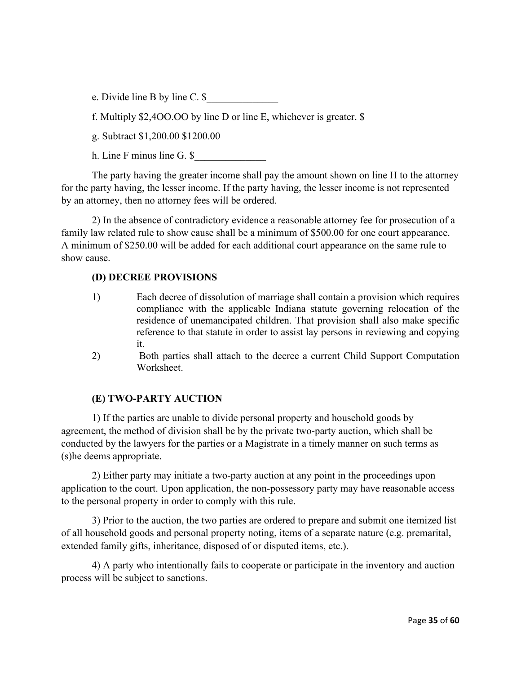e. Divide line B by line C. \$

f. Multiply \$2,400.00 by line D or line E, whichever is greater.  $$$ 

g. Subtract \$1,200.00 \$1200.00

h. Line F minus line G. \$

The party having the greater income shall pay the amount shown on line H to the attorney for the party having, the lesser income. If the party having, the lesser income is not represented by an attorney, then no attorney fees will be ordered.

2) In the absence of contradictory evidence a reasonable attorney fee for prosecution of a family law related rule to show cause shall be a minimum of \$500.00 for one court appearance. A minimum of \$250.00 will be added for each additional court appearance on the same rule to show cause.

## **(D) DECREE PROVISIONS**

- 1) Each decree of dissolution of marriage shall contain a provision which requires compliance with the applicable Indiana statute governing relocation of the residence of unemancipated children. That provision shall also make specific reference to that statute in order to assist lay persons in reviewing and copying it.
- 2) Both parties shall attach to the decree a current Child Support Computation Worksheet.

## **(E) TWO-PARTY AUCTION**

1) If the parties are unable to divide personal property and household goods by agreement, the method of division shall be by the private two-party auction, which shall be conducted by the lawyers for the parties or a Magistrate in a timely manner on such terms as (s)he deems appropriate.

2) Either party may initiate a two-party auction at any point in the proceedings upon application to the court. Upon application, the non-possessory party may have reasonable access to the personal property in order to comply with this rule.

3) Prior to the auction, the two parties are ordered to prepare and submit one itemized list of all household goods and personal property noting, items of a separate nature (e.g. premarital, extended family gifts, inheritance, disposed of or disputed items, etc.).

4) A party who intentionally fails to cooperate or participate in the inventory and auction process will be subject to sanctions.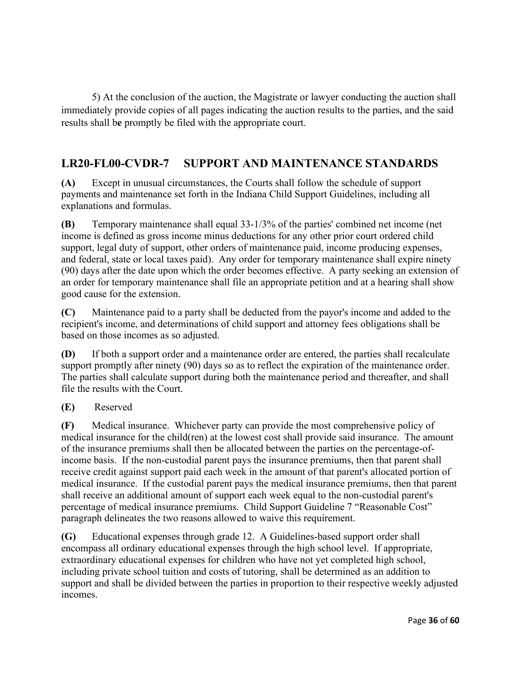5) At the conclusion of the auction, the Magistrate or lawyer conducting the auction shall immediately provide copies of all pages indicating the auction results to the parties, and the said results shall b**e** promptly be filed with the appropriate court.

# **LR20-FL00-CVDR-7 SUPPORT AND MAINTENANCE STANDARDS**

**(A)** Except in unusual circumstances, the Courts shall follow the schedule of support payments and maintenance set forth in the Indiana Child Support Guidelines, including all explanations and formulas.

**(B)** Temporary maintenance shall equal 33-1/3% of the parties' combined net income (net income is defined as gross income minus deductions for any other prior court ordered child support, legal duty of support, other orders of maintenance paid, income producing expenses, and federal, state or local taxes paid). Any order for temporary maintenance shall expire ninety (90) days after the date upon which the order becomes effective. A party seeking an extension of an order for temporary maintenance shall file an appropriate petition and at a hearing shall show good cause for the extension.

**(C)** Maintenance paid to a party shall be deducted from the payor's income and added to the recipient's income, and determinations of child support and attorney fees obligations shall be based on those incomes as so adjusted.

**(D)** If both a support order and a maintenance order are entered, the parties shall recalculate support promptly after ninety (90) days so as to reflect the expiration of the maintenance order. The parties shall calculate support during both the maintenance period and thereafter, and shall file the results with the Court.

## **(E)** Reserved

**(F)** Medical insurance. Whichever party can provide the most comprehensive policy of medical insurance for the child(ren) at the lowest cost shall provide said insurance. The amount of the insurance premiums shall then be allocated between the parties on the percentage-ofincome basis. If the non-custodial parent pays the insurance premiums, then that parent shall receive credit against support paid each week in the amount of that parent's allocated portion of medical insurance. If the custodial parent pays the medical insurance premiums, then that parent shall receive an additional amount of support each week equal to the non-custodial parent's percentage of medical insurance premiums. Child Support Guideline 7 "Reasonable Cost" paragraph delineates the two reasons allowed to waive this requirement.

**(G)** Educational expenses through grade 12. A Guidelines-based support order shall encompass all ordinary educational expenses through the high school level. If appropriate, extraordinary educational expenses for children who have not yet completed high school, including private school tuition and costs of tutoring, shall be determined as an addition to support and shall be divided between the parties in proportion to their respective weekly adjusted incomes.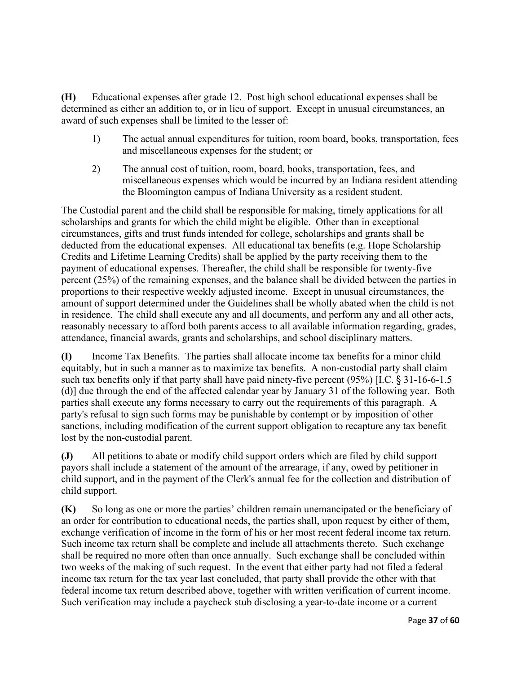**(H)** Educational expenses after grade 12. Post high school educational expenses shall be determined as either an addition to, or in lieu of support. Except in unusual circumstances, an award of such expenses shall be limited to the lesser of:

- 1) The actual annual expenditures for tuition, room board, books, transportation, fees and miscellaneous expenses for the student; or
- 2) The annual cost of tuition, room, board, books, transportation, fees, and miscellaneous expenses which would be incurred by an Indiana resident attending the Bloomington campus of Indiana University as a resident student.

The Custodial parent and the child shall be responsible for making, timely applications for all scholarships and grants for which the child might be eligible. Other than in exceptional circumstances, gifts and trust funds intended for college, scholarships and grants shall be deducted from the educational expenses. All educational tax benefits (e.g. Hope Scholarship Credits and Lifetime Learning Credits) shall be applied by the party receiving them to the payment of educational expenses. Thereafter, the child shall be responsible for twenty-five percent (25%) of the remaining expenses, and the balance shall be divided between the parties in proportions to their respective weekly adjusted income. Except in unusual circumstances, the amount of support determined under the Guidelines shall be wholly abated when the child is not in residence. The child shall execute any and all documents, and perform any and all other acts, reasonably necessary to afford both parents access to all available information regarding, grades, attendance, financial awards, grants and scholarships, and school disciplinary matters.

**(I)** Income Tax Benefits. The parties shall allocate income tax benefits for a minor child equitably, but in such a manner as to maximize tax benefits. A non-custodial party shall claim such tax benefits only if that party shall have paid ninety-five percent (95%) [I.C. § 31-16-6-1.5 (d)] due through the end of the affected calendar year by January 31 of the following year. Both parties shall execute any forms necessary to carry out the requirements of this paragraph. A party's refusal to sign such forms may be punishable by contempt or by imposition of other sanctions, including modification of the current support obligation to recapture any tax benefit lost by the non-custodial parent.

**(J)** All petitions to abate or modify child support orders which are filed by child support payors shall include a statement of the amount of the arrearage, if any, owed by petitioner in child support, and in the payment of the Clerk's annual fee for the collection and distribution of child support.

**(K)** So long as one or more the parties' children remain unemancipated or the beneficiary of an order for contribution to educational needs, the parties shall, upon request by either of them, exchange verification of income in the form of his or her most recent federal income tax return. Such income tax return shall be complete and include all attachments thereto. Such exchange shall be required no more often than once annually. Such exchange shall be concluded within two weeks of the making of such request. In the event that either party had not filed a federal income tax return for the tax year last concluded, that party shall provide the other with that federal income tax return described above, together with written verification of current income. Such verification may include a paycheck stub disclosing a year-to-date income or a current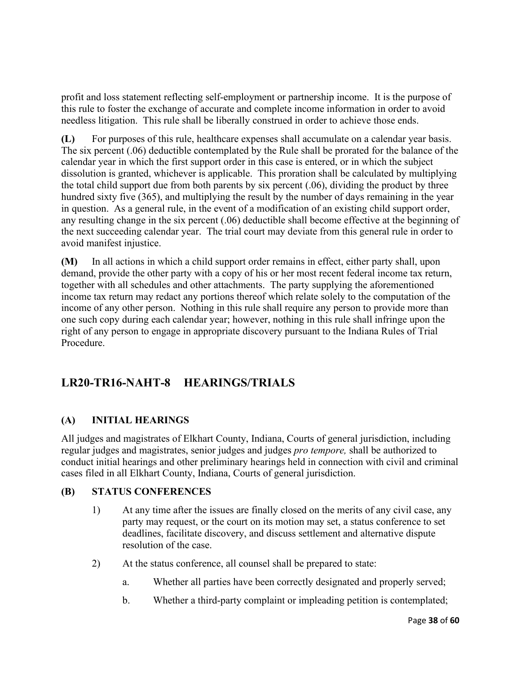profit and loss statement reflecting self-employment or partnership income. It is the purpose of this rule to foster the exchange of accurate and complete income information in order to avoid needless litigation. This rule shall be liberally construed in order to achieve those ends.

**(L)** For purposes of this rule, healthcare expenses shall accumulate on a calendar year basis. The six percent (.06) deductible contemplated by the Rule shall be prorated for the balance of the calendar year in which the first support order in this case is entered, or in which the subject dissolution is granted, whichever is applicable. This proration shall be calculated by multiplying the total child support due from both parents by six percent (.06), dividing the product by three hundred sixty five (365), and multiplying the result by the number of days remaining in the year in question. As a general rule, in the event of a modification of an existing child support order, any resulting change in the six percent (.06) deductible shall become effective at the beginning of the next succeeding calendar year. The trial court may deviate from this general rule in order to avoid manifest injustice.

**(M)** In all actions in which a child support order remains in effect, either party shall, upon demand, provide the other party with a copy of his or her most recent federal income tax return, together with all schedules and other attachments. The party supplying the aforementioned income tax return may redact any portions thereof which relate solely to the computation of the income of any other person. Nothing in this rule shall require any person to provide more than one such copy during each calendar year; however, nothing in this rule shall infringe upon the right of any person to engage in appropriate discovery pursuant to the Indiana Rules of Trial Procedure.

# **LR20-TR16-NAHT-8 HEARINGS/TRIALS**

## **(A) INITIAL HEARINGS**

All judges and magistrates of Elkhart County, Indiana, Courts of general jurisdiction, including regular judges and magistrates, senior judges and judges *pro tempore,* shall be authorized to conduct initial hearings and other preliminary hearings held in connection with civil and criminal cases filed in all Elkhart County, Indiana, Courts of general jurisdiction.

## **(B) STATUS CONFERENCES**

- 1) At any time after the issues are finally closed on the merits of any civil case, any party may request, or the court on its motion may set, a status conference to set deadlines, facilitate discovery, and discuss settlement and alternative dispute resolution of the case.
- 2) At the status conference, all counsel shall be prepared to state:
	- a. Whether all parties have been correctly designated and properly served;
	- b. Whether a third-party complaint or impleading petition is contemplated;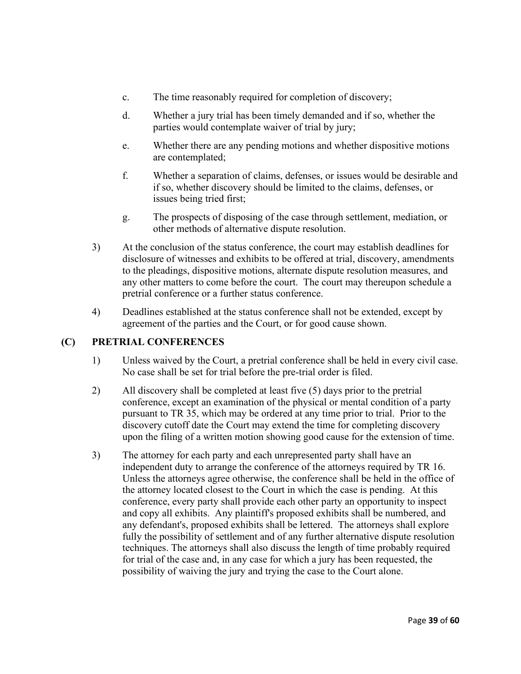- c. The time reasonably required for completion of discovery;
- d. Whether a jury trial has been timely demanded and if so, whether the parties would contemplate waiver of trial by jury;
- e. Whether there are any pending motions and whether dispositive motions are contemplated;
- f. Whether a separation of claims, defenses, or issues would be desirable and if so, whether discovery should be limited to the claims, defenses, or issues being tried first;
- g. The prospects of disposing of the case through settlement, mediation, or other methods of alternative dispute resolution.
- 3) At the conclusion of the status conference, the court may establish deadlines for disclosure of witnesses and exhibits to be offered at trial, discovery, amendments to the pleadings, dispositive motions, alternate dispute resolution measures, and any other matters to come before the court. The court may thereupon schedule a pretrial conference or a further status conference.
- 4) Deadlines established at the status conference shall not be extended, except by agreement of the parties and the Court, or for good cause shown.

## **(C) PRETRIAL CONFERENCES**

- 1) Unless waived by the Court, a pretrial conference shall be held in every civil case. No case shall be set for trial before the pre-trial order is filed.
- 2) All discovery shall be completed at least five (5) days prior to the pretrial conference, except an examination of the physical or mental condition of a party pursuant to TR 35, which may be ordered at any time prior to trial. Prior to the discovery cutoff date the Court may extend the time for completing discovery upon the filing of a written motion showing good cause for the extension of time.
- 3) The attorney for each party and each unrepresented party shall have an independent duty to arrange the conference of the attorneys required by TR 16. Unless the attorneys agree otherwise, the conference shall be held in the office of the attorney located closest to the Court in which the case is pending. At this conference, every party shall provide each other party an opportunity to inspect and copy all exhibits. Any plaintiff's proposed exhibits shall be numbered, and any defendant's, proposed exhibits shall be lettered. The attorneys shall explore fully the possibility of settlement and of any further alternative dispute resolution techniques. The attorneys shall also discuss the length of time probably required for trial of the case and, in any case for which a jury has been requested, the possibility of waiving the jury and trying the case to the Court alone.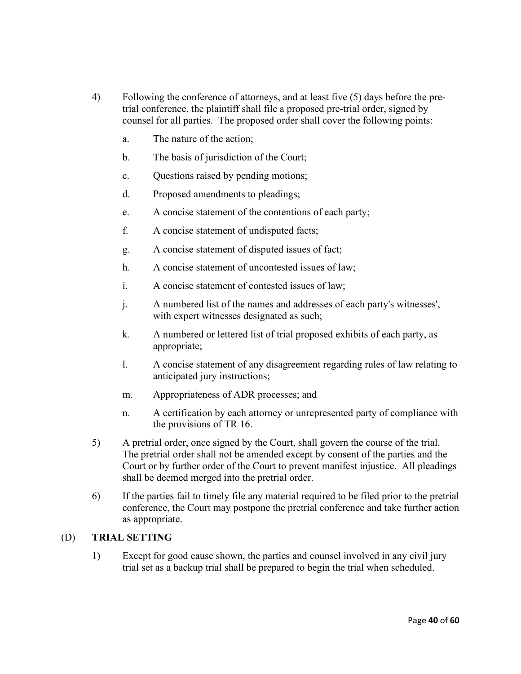- 4) Following the conference of attorneys, and at least five (5) days before the pretrial conference, the plaintiff shall file a proposed pre-trial order, signed by counsel for all parties. The proposed order shall cover the following points:
	- a. The nature of the action;
	- b. The basis of jurisdiction of the Court;
	- c. Questions raised by pending motions;
	- d. Proposed amendments to pleadings;
	- e. A concise statement of the contentions of each party;
	- f. A concise statement of undisputed facts;
	- g. A concise statement of disputed issues of fact;
	- h. A concise statement of uncontested issues of law;
	- i. A concise statement of contested issues of law;
	- j. A numbered list of the names and addresses of each party's witnesses', with expert witnesses designated as such;
	- k. A numbered or lettered list of trial proposed exhibits of each party, as appropriate;
	- l. A concise statement of any disagreement regarding rules of law relating to anticipated jury instructions;
	- m. Appropriateness of ADR processes; and
	- n. A certification by each attorney or unrepresented party of compliance with the provisions of TR 16.
- 5) A pretrial order, once signed by the Court, shall govern the course of the trial. The pretrial order shall not be amended except by consent of the parties and the Court or by further order of the Court to prevent manifest injustice. All pleadings shall be deemed merged into the pretrial order.
- 6) If the parties fail to timely file any material required to be filed prior to the pretrial conference, the Court may postpone the pretrial conference and take further action as appropriate.

## (D) **TRIAL SETTING**

1) Except for good cause shown, the parties and counsel involved in any civil jury trial set as a backup trial shall be prepared to begin the trial when scheduled.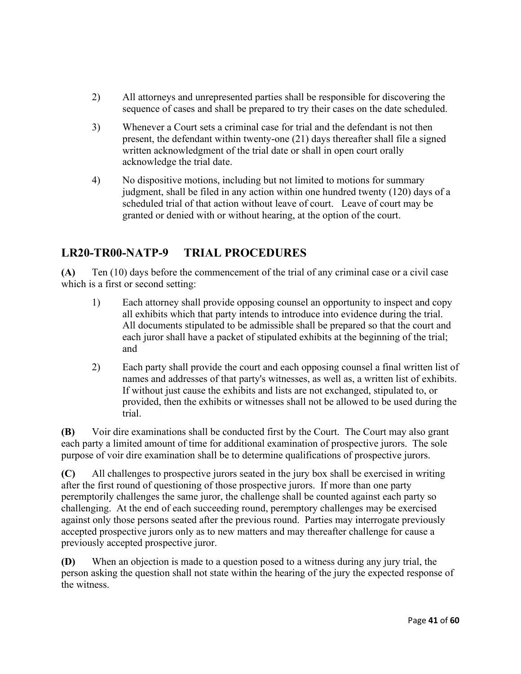- 2) All attorneys and unrepresented parties shall be responsible for discovering the sequence of cases and shall be prepared to try their cases on the date scheduled.
- 3) Whenever a Court sets a criminal case for trial and the defendant is not then present, the defendant within twenty-one (21) days thereafter shall file a signed written acknowledgment of the trial date or shall in open court orally acknowledge the trial date.
- 4) No dispositive motions, including but not limited to motions for summary judgment, shall be filed in any action within one hundred twenty (120) days of a scheduled trial of that action without leave of court. Leave of court may be granted or denied with or without hearing, at the option of the court.

## **LR20-TR00-NATP-9 TRIAL PROCEDURES**

**(A)** Ten (10) days before the commencement of the trial of any criminal case or a civil case which is a first or second setting:

- 1) Each attorney shall provide opposing counsel an opportunity to inspect and copy all exhibits which that party intends to introduce into evidence during the trial. All documents stipulated to be admissible shall be prepared so that the court and each juror shall have a packet of stipulated exhibits at the beginning of the trial; and
- 2) Each party shall provide the court and each opposing counsel a final written list of names and addresses of that party's witnesses, as well as, a written list of exhibits. If without just cause the exhibits and lists are not exchanged, stipulated to, or provided, then the exhibits or witnesses shall not be allowed to be used during the trial.

**(B)** Voir dire examinations shall be conducted first by the Court. The Court may also grant each party a limited amount of time for additional examination of prospective jurors. The sole purpose of voir dire examination shall be to determine qualifications of prospective jurors.

**(C)** All challenges to prospective jurors seated in the jury box shall be exercised in writing after the first round of questioning of those prospective jurors. If more than one party peremptorily challenges the same juror, the challenge shall be counted against each party so challenging. At the end of each succeeding round, peremptory challenges may be exercised against only those persons seated after the previous round. Parties may interrogate previously accepted prospective jurors only as to new matters and may thereafter challenge for cause a previously accepted prospective juror.

**(D)** When an objection is made to a question posed to a witness during any jury trial, the person asking the question shall not state within the hearing of the jury the expected response of the witness.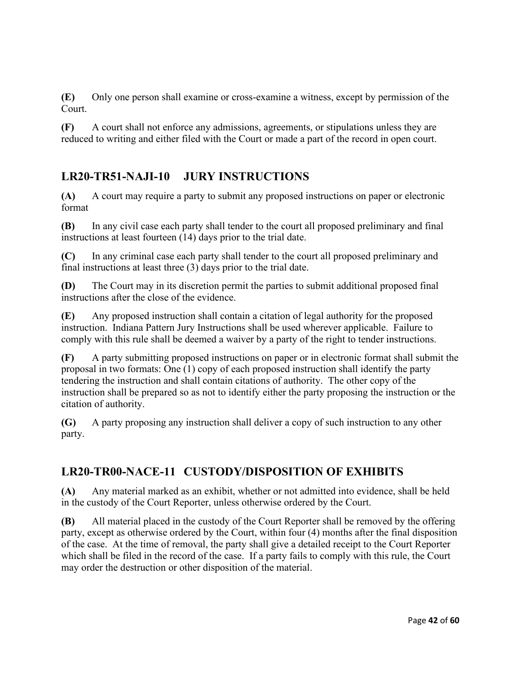**(E)** Only one person shall examine or cross-examine a witness, except by permission of the Court.

**(F)** A court shall not enforce any admissions, agreements, or stipulations unless they are reduced to writing and either filed with the Court or made a part of the record in open court.

# **LR20-TR51-NAJI-10 JURY INSTRUCTIONS**

**(A)** A court may require a party to submit any proposed instructions on paper or electronic format

**(B)** In any civil case each party shall tender to the court all proposed preliminary and final instructions at least fourteen (14) days prior to the trial date.

**(C)** In any criminal case each party shall tender to the court all proposed preliminary and final instructions at least three (3) days prior to the trial date.

**(D)** The Court may in its discretion permit the parties to submit additional proposed final instructions after the close of the evidence.

**(E)** Any proposed instruction shall contain a citation of legal authority for the proposed instruction. Indiana Pattern Jury Instructions shall be used wherever applicable. Failure to comply with this rule shall be deemed a waiver by a party of the right to tender instructions.

**(F)** A party submitting proposed instructions on paper or in electronic format shall submit the proposal in two formats: One (1) copy of each proposed instruction shall identify the party tendering the instruction and shall contain citations of authority. The other copy of the instruction shall be prepared so as not to identify either the party proposing the instruction or the citation of authority.

**(G)** A party proposing any instruction shall deliver a copy of such instruction to any other party.

# **LR20-TR00-NACE-11 CUSTODY/DISPOSITION OF EXHIBITS**

**(A)** Any material marked as an exhibit, whether or not admitted into evidence, shall be held in the custody of the Court Reporter, unless otherwise ordered by the Court.

**(B)** All material placed in the custody of the Court Reporter shall be removed by the offering party, except as otherwise ordered by the Court, within four (4) months after the final disposition of the case. At the time of removal, the party shall give a detailed receipt to the Court Reporter which shall be filed in the record of the case. If a party fails to comply with this rule, the Court may order the destruction or other disposition of the material.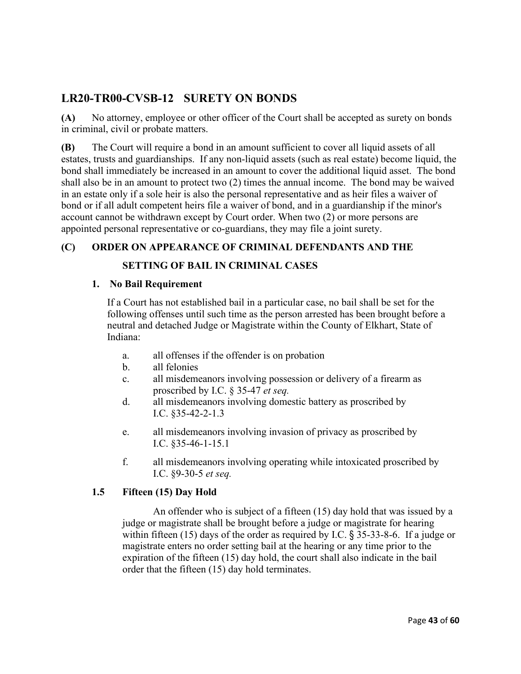## **LR20-TR00-CVSB-12 SURETY ON BONDS**

**(A)** No attorney, employee or other officer of the Court shall be accepted as surety on bonds in criminal, civil or probate matters.

**(B)** The Court will require a bond in an amount sufficient to cover all liquid assets of all estates, trusts and guardianships. If any non-liquid assets (such as real estate) become liquid, the bond shall immediately be increased in an amount to cover the additional liquid asset. The bond shall also be in an amount to protect two (2) times the annual income. The bond may be waived in an estate only if a sole heir is also the personal representative and as heir files a waiver of bond or if all adult competent heirs file a waiver of bond, and in a guardianship if the minor's account cannot be withdrawn except by Court order. When two (2) or more persons are appointed personal representative or co-guardians, they may file a joint surety.

## **(C) ORDER ON APPEARANCE OF CRIMINAL DEFENDANTS AND THE**

## **SETTING OF BAIL IN CRIMINAL CASES**

## **1. No Bail Requirement**

If a Court has not established bail in a particular case, no bail shall be set for the following offenses until such time as the person arrested has been brought before a neutral and detached Judge or Magistrate within the County of Elkhart, State of Indiana:

- a. all offenses if the offender is on probation
- b. all felonies
- c. all misdemeanors involving possession or delivery of a firearm as proscribed by I.C. § 35-47 *et seq.*
- d. all misdemeanors involving domestic battery as proscribed by I.C. §35-42-2-1.3
- e. all misdemeanors involving invasion of privacy as proscribed by I.C. §35-46-1-15.1
- f. all misdemeanors involving operating while intoxicated proscribed by I.C. §9-30-5 *et seq.*

## **1.5 Fifteen (15) Day Hold**

An offender who is subject of a fifteen (15) day hold that was issued by a judge or magistrate shall be brought before a judge or magistrate for hearing within fifteen (15) days of the order as required by I.C. § 35-33-8-6. If a judge or magistrate enters no order setting bail at the hearing or any time prior to the expiration of the fifteen (15) day hold, the court shall also indicate in the bail order that the fifteen (15) day hold terminates.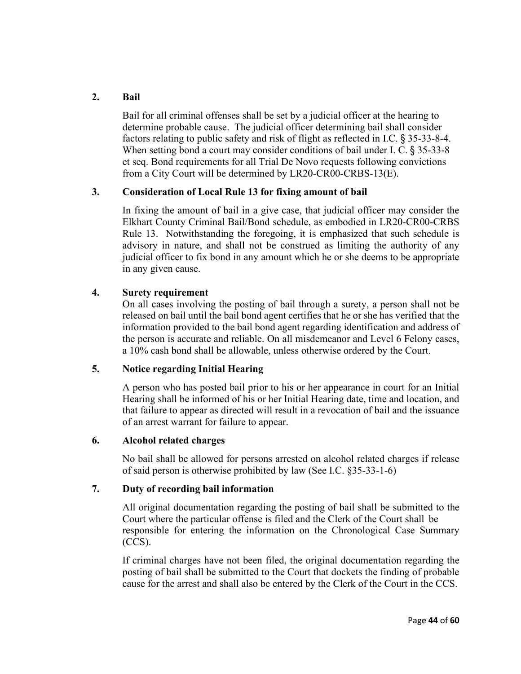## **2. Bail**

Bail for all criminal offenses shall be set by a judicial officer at the hearing to determine probable cause. The judicial officer determining bail shall consider factors relating to public safety and risk of flight as reflected in I.C. § 35-33-8-4. When setting bond a court may consider conditions of bail under I. C. § 35-33-8 et seq. Bond requirements for all Trial De Novo requests following convictions from a City Court will be determined by LR20-CR00-CRBS-13(E).

## **3. Consideration of Local Rule 13 for fixing amount of bail**

In fixing the amount of bail in a give case, that judicial officer may consider the Elkhart County Criminal Bail/Bond schedule, as embodied in LR20-CR00-CRBS Rule 13. Notwithstanding the foregoing, it is emphasized that such schedule is advisory in nature, and shall not be construed as limiting the authority of any judicial officer to fix bond in any amount which he or she deems to be appropriate in any given cause.

## **4. Surety requirement**

On all cases involving the posting of bail through a surety, a person shall not be released on bail until the bail bond agent certifies that he or she has verified that the information provided to the bail bond agent regarding identification and address of the person is accurate and reliable. On all misdemeanor and Level 6 Felony cases, a 10% cash bond shall be allowable, unless otherwise ordered by the Court.

## **5. Notice regarding Initial Hearing**

A person who has posted bail prior to his or her appearance in court for an Initial Hearing shall be informed of his or her Initial Hearing date, time and location, and that failure to appear as directed will result in a revocation of bail and the issuance of an arrest warrant for failure to appear.

## **6. Alcohol related charges**

No bail shall be allowed for persons arrested on alcohol related charges if release of said person is otherwise prohibited by law (See I.C. §35-33-1-6)

## **7. Duty of recording bail information**

All original documentation regarding the posting of bail shall be submitted to the Court where the particular offense is filed and the Clerk of the Court shall be responsible for entering the information on the Chronological Case Summary (CCS).

If criminal charges have not been filed, the original documentation regarding the posting of bail shall be submitted to the Court that dockets the finding of probable cause for the arrest and shall also be entered by the Clerk of the Court in the CCS.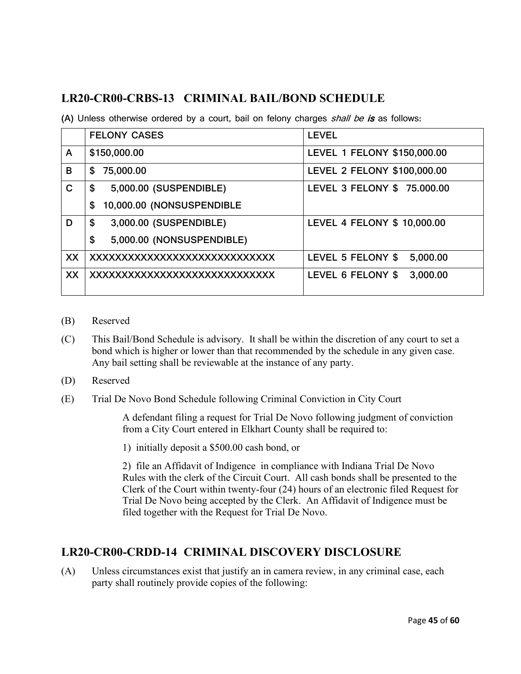## **LR20-CR00-CRBS-13 CRIMINAL BAIL/BOND SCHEDULE**

(A) Unless otherwise ordered by a court, bail on felony charges *shall be is* as follows:

|           | <b>FELONY CASES</b>             | <b>LEVEL</b>                  |
|-----------|---------------------------------|-------------------------------|
| A         | \$150,000.00                    | LEVEL 1 FELONY \$150,000.00   |
| B         | 75,000.00<br>\$                 | LEVEL 2 FELONY \$100,000.00   |
| C         | 5,000.00 (SUSPENDIBLE)<br>\$    | LEVEL 3 FELONY \$ 75.000.00   |
|           | 10,000.00 (NONSUSPENDIBLE<br>\$ |                               |
| D         | \$<br>3,000.00 (SUSPENDIBLE)    | LEVEL 4 FELONY \$ 10,000.00   |
|           | \$<br>5,000.00 (NONSUSPENDIBLE) |                               |
| XX        | XXXXXXXXXXXXXXXXXXXXXXXXXXXX    | LEVEL 5 FELONY \$<br>5,000.00 |
| <b>XX</b> | XXXXXXXXXXXXXXXXXXXXXXXXXXXXX   | LEVEL 6 FELONY \$<br>3,000.00 |
|           |                                 |                               |

- (B) Reserved
- (C) This Bail/Bond Schedule is advisory. It shall be within the discretion of any court to set a bond which is higher or lower than that recommended by the schedule in any given case. Any bail setting shall be reviewable at the instance of any party.
- (D) Reserved
- (E) Trial De Novo Bond Schedule following Criminal Conviction in City Court

A defendant filing a request for Trial De Novo following judgment of conviction from a City Court entered in Elkhart County shall be required to:

1) initially deposit a \$500.00 cash bond, or

2) file an Affidavit of Indigence in compliance with Indiana Trial De Novo Rules with the clerk of the Circuit Court. All cash bonds shall be presented to the Clerk of the Court within twenty-four (24) hours of an electronic filed Request for Trial De Novo being accepted by the Clerk. An Affidavit of Indigence must be filed together with the Request for Trial De Novo.

## **LR20-CR00-CRDD-14 CRIMINAL DISCOVERY DISCLOSURE**

(A) Unless circumstances exist that justify an in camera review, in any criminal case, each party shall routinely provide copies of the following: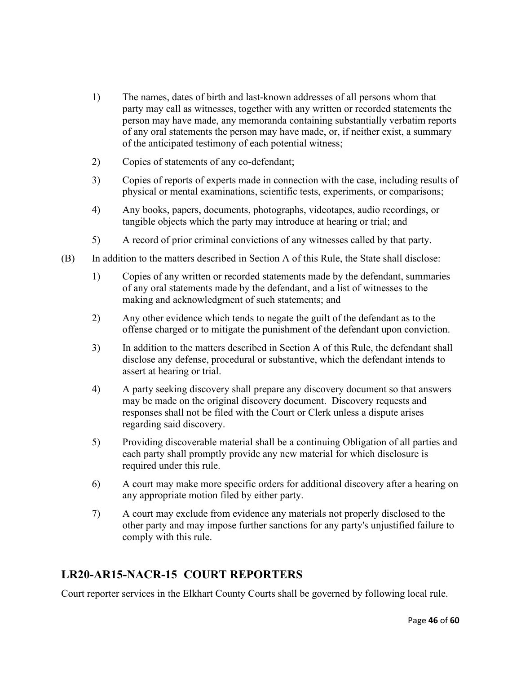- 1) The names, dates of birth and last-known addresses of all persons whom that party may call as witnesses, together with any written or recorded statements the person may have made, any memoranda containing substantially verbatim reports of any oral statements the person may have made, or, if neither exist, a summary of the anticipated testimony of each potential witness;
- 2) Copies of statements of any co-defendant;
- 3) Copies of reports of experts made in connection with the case, including results of physical or mental examinations, scientific tests, experiments, or comparisons;
- 4) Any books, papers, documents, photographs, videotapes, audio recordings, or tangible objects which the party may introduce at hearing or trial; and
- 5) A record of prior criminal convictions of any witnesses called by that party.
- (B) In addition to the matters described in Section A of this Rule, the State shall disclose:
	- 1) Copies of any written or recorded statements made by the defendant, summaries of any oral statements made by the defendant, and a list of witnesses to the making and acknowledgment of such statements; and
	- 2) Any other evidence which tends to negate the guilt of the defendant as to the offense charged or to mitigate the punishment of the defendant upon conviction.
	- 3) In addition to the matters described in Section A of this Rule, the defendant shall disclose any defense, procedural or substantive, which the defendant intends to assert at hearing or trial.
	- 4) A party seeking discovery shall prepare any discovery document so that answers may be made on the original discovery document. Discovery requests and responses shall not be filed with the Court or Clerk unless a dispute arises regarding said discovery.
	- 5) Providing discoverable material shall be a continuing Obligation of all parties and each party shall promptly provide any new material for which disclosure is required under this rule.
	- 6) A court may make more specific orders for additional discovery after a hearing on any appropriate motion filed by either party.
	- 7) A court may exclude from evidence any materials not properly disclosed to the other party and may impose further sanctions for any party's unjustified failure to comply with this rule.

# **LR20-AR15-NACR-15 COURT REPORTERS**

Court reporter services in the Elkhart County Courts shall be governed by following local rule.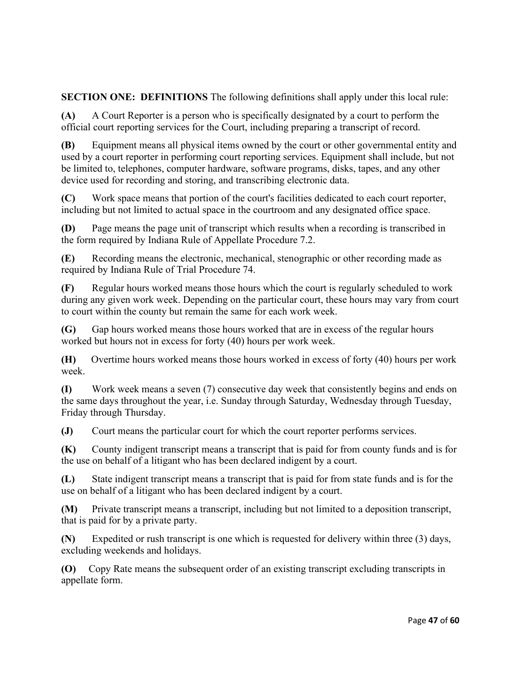**SECTION ONE: DEFINITIONS** The following definitions shall apply under this local rule:

**(A)** A Court Reporter is a person who is specifically designated by a court to perform the official court reporting services for the Court, including preparing a transcript of record.

**(B)** Equipment means all physical items owned by the court or other governmental entity and used by a court reporter in performing court reporting services. Equipment shall include, but not be limited to, telephones, computer hardware, software programs, disks, tapes, and any other device used for recording and storing, and transcribing electronic data.

**(C)** Work space means that portion of the court's facilities dedicated to each court reporter, including but not limited to actual space in the courtroom and any designated office space.

**(D)** Page means the page unit of transcript which results when a recording is transcribed in the form required by Indiana Rule of Appellate Procedure 7.2.

**(E)** Recording means the electronic, mechanical, stenographic or other recording made as required by Indiana Rule of Trial Procedure 74.

**(F)** Regular hours worked means those hours which the court is regularly scheduled to work during any given work week. Depending on the particular court, these hours may vary from court to court within the county but remain the same for each work week.

**(G)** Gap hours worked means those hours worked that are in excess of the regular hours worked but hours not in excess for forty (40) hours per work week.

**(H)** Overtime hours worked means those hours worked in excess of forty (40) hours per work week.

**(I)** Work week means a seven (7) consecutive day week that consistently begins and ends on the same days throughout the year, i.e. Sunday through Saturday, Wednesday through Tuesday, Friday through Thursday.

**(J)** Court means the particular court for which the court reporter performs services.

**(K)** County indigent transcript means a transcript that is paid for from county funds and is for the use on behalf of a litigant who has been declared indigent by a court.

**(L)** State indigent transcript means a transcript that is paid for from state funds and is for the use on behalf of a litigant who has been declared indigent by a court.

**(M)** Private transcript means a transcript, including but not limited to a deposition transcript, that is paid for by a private party.

**(N)** Expedited or rush transcript is one which is requested for delivery within three (3) days, excluding weekends and holidays.

**(O)** Copy Rate means the subsequent order of an existing transcript excluding transcripts in appellate form.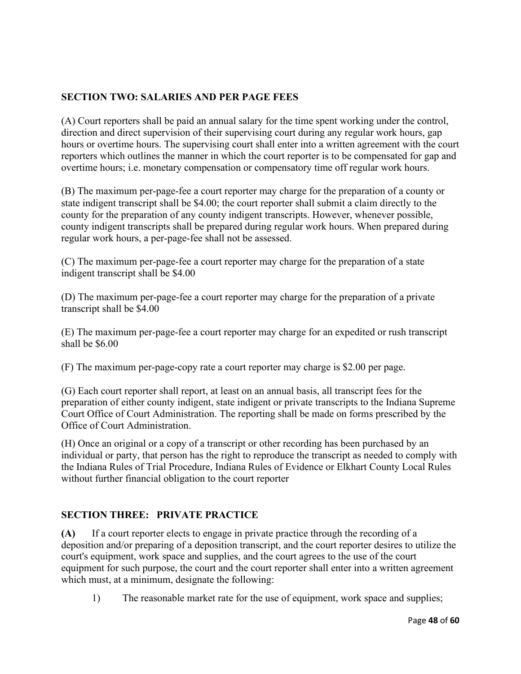## **SECTION TWO: SALARIES AND PER PAGE FEES**

(A) Court reporters shall be paid an annual salary for the time spent working under the control, direction and direct supervision of their supervising court during any regular work hours, gap hours or overtime hours. The supervising court shall enter into a written agreement with the court reporters which outlines the manner in which the court reporter is to be compensated for gap and overtime hours; i.e. monetary compensation or compensatory time off regular work hours.

(B) The maximum per-page-fee a court reporter may charge for the preparation of a county or state indigent transcript shall be \$4.00; the court reporter shall submit a claim directly to the county for the preparation of any county indigent transcripts. However, whenever possible, county indigent transcripts shall be prepared during regular work hours. When prepared during regular work hours, a per-page-fee shall not be assessed.

(C) The maximum per-page-fee a court reporter may charge for the preparation of a state indigent transcript shall be \$4.00

(D) The maximum per-page-fee a court reporter may charge for the preparation of a private transcript shall be \$4.00

(E) The maximum per-page-fee a court reporter may charge for an expedited or rush transcript shall be \$6.00

(F) The maximum per-page-copy rate a court reporter may charge is \$2.00 per page.

(G) Each court reporter shall report, at least on an annual basis, all transcript fees for the preparation of either county indigent, state indigent or private transcripts to the Indiana Supreme Court Office of Court Administration. The reporting shall be made on forms prescribed by the Office of Court Administration.

(H) Once an original or a copy of a transcript or other recording has been purchased by an individual or party, that person has the right to reproduce the transcript as needed to comply with the Indiana Rules of Trial Procedure, Indiana Rules of Evidence or Elkhart County Local Rules without further financial obligation to the court reporter

## **SECTION THREE: PRIVATE PRACTICE**

**(A)** If a court reporter elects to engage in private practice through the recording of a deposition and/or preparing of a deposition transcript, and the court reporter desires to utilize the court's equipment, work space and supplies, and the court agrees to the use of the court equipment for such purpose, the court and the court reporter shall enter into a written agreement which must, at a minimum, designate the following:

1) The reasonable market rate for the use of equipment, work space and supplies;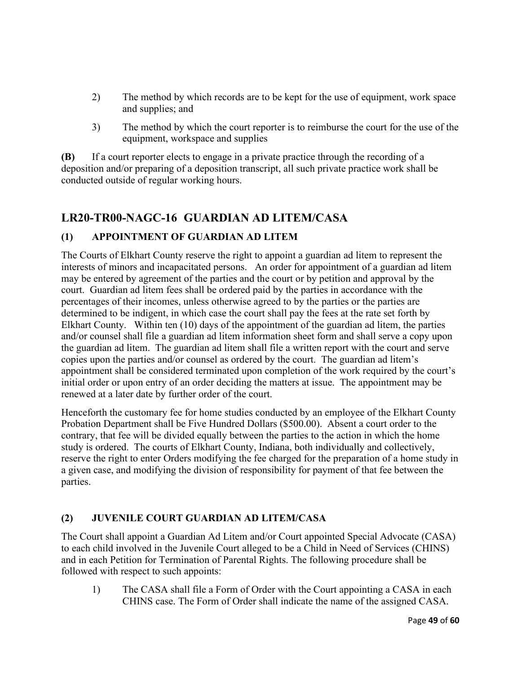- 2) The method by which records are to be kept for the use of equipment, work space and supplies; and
- 3) The method by which the court reporter is to reimburse the court for the use of the equipment, workspace and supplies

**(B)** If a court reporter elects to engage in a private practice through the recording of a deposition and/or preparing of a deposition transcript, all such private practice work shall be conducted outside of regular working hours.

## **LR20-TR00-NAGC-16 GUARDIAN AD LITEM/CASA**

## **(1) APPOINTMENT OF GUARDIAN AD LITEM**

The Courts of Elkhart County reserve the right to appoint a guardian ad litem to represent the interests of minors and incapacitated persons. An order for appointment of a guardian ad litem may be entered by agreement of the parties and the court or by petition and approval by the court. Guardian ad litem fees shall be ordered paid by the parties in accordance with the percentages of their incomes, unless otherwise agreed to by the parties or the parties are determined to be indigent, in which case the court shall pay the fees at the rate set forth by Elkhart County. Within ten (10) days of the appointment of the guardian ad litem, the parties and/or counsel shall file a guardian ad litem information sheet form and shall serve a copy upon the guardian ad litem. The guardian ad litem shall file a written report with the court and serve copies upon the parties and/or counsel as ordered by the court. The guardian ad litem's appointment shall be considered terminated upon completion of the work required by the court's initial order or upon entry of an order deciding the matters at issue. The appointment may be renewed at a later date by further order of the court.

Henceforth the customary fee for home studies conducted by an employee of the Elkhart County Probation Department shall be Five Hundred Dollars (\$500.00). Absent a court order to the contrary, that fee will be divided equally between the parties to the action in which the home study is ordered. The courts of Elkhart County, Indiana, both individually and collectively, reserve the right to enter Orders modifying the fee charged for the preparation of a home study in a given case, and modifying the division of responsibility for payment of that fee between the parties.

## **(2) JUVENILE COURT GUARDIAN AD LITEM/CASA**

The Court shall appoint a Guardian Ad Litem and/or Court appointed Special Advocate (CASA) to each child involved in the Juvenile Court alleged to be a Child in Need of Services (CHINS) and in each Petition for Termination of Parental Rights. The following procedure shall be followed with respect to such appoints:

1) The CASA shall file a Form of Order with the Court appointing a CASA in each CHINS case. The Form of Order shall indicate the name of the assigned CASA.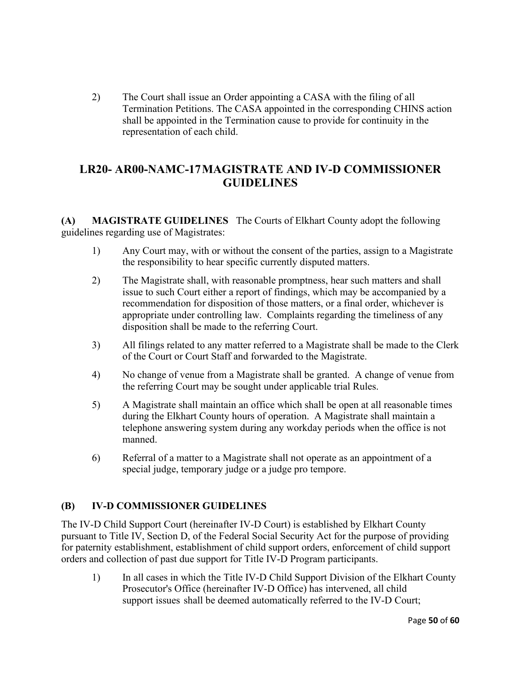2) The Court shall issue an Order appointing a CASA with the filing of all Termination Petitions. The CASA appointed in the corresponding CHINS action shall be appointed in the Termination cause to provide for continuity in the representation of each child.

## **LR20- AR00-NAMC-17MAGISTRATE AND IV-D COMMISSIONER GUIDELINES**

**(A) MAGISTRATE GUIDELINES** The Courts of Elkhart County adopt the following guidelines regarding use of Magistrates:

- 1) Any Court may, with or without the consent of the parties, assign to a Magistrate the responsibility to hear specific currently disputed matters.
- 2) The Magistrate shall, with reasonable promptness, hear such matters and shall issue to such Court either a report of findings, which may be accompanied by a recommendation for disposition of those matters, or a final order, whichever is appropriate under controlling law. Complaints regarding the timeliness of any disposition shall be made to the referring Court.
- 3) All filings related to any matter referred to a Magistrate shall be made to the Clerk of the Court or Court Staff and forwarded to the Magistrate.
- 4) No change of venue from a Magistrate shall be granted. A change of venue from the referring Court may be sought under applicable trial Rules.
- 5) A Magistrate shall maintain an office which shall be open at all reasonable times during the Elkhart County hours of operation. A Magistrate shall maintain a telephone answering system during any workday periods when the office is not manned.
- 6) Referral of a matter to a Magistrate shall not operate as an appointment of a special judge, temporary judge or a judge pro tempore.

## **(B) IV-D COMMISSIONER GUIDELINES**

The IV-D Child Support Court (hereinafter IV-D Court) is established by Elkhart County pursuant to Title IV, Section D, of the Federal Social Security Act for the purpose of providing for paternity establishment, establishment of child support orders, enforcement of child support orders and collection of past due support for Title IV-D Program participants.

1) In all cases in which the Title IV-D Child Support Division of the Elkhart County Prosecutor's Office (hereinafter IV-D Office) has intervened, all child support issues shall be deemed automatically referred to the IV-D Court;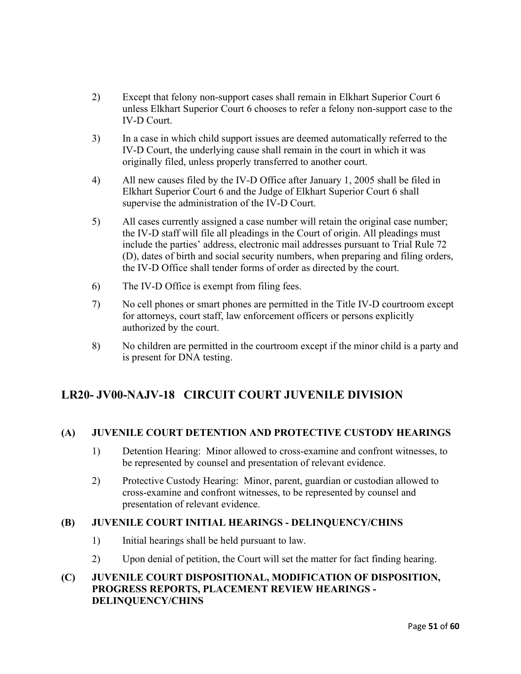- 2) Except that felony non-support cases shall remain in Elkhart Superior Court 6 unless Elkhart Superior Court 6 chooses to refer a felony non-support case to the IV-D Court.
- 3) In a case in which child support issues are deemed automatically referred to the IV-D Court, the underlying cause shall remain in the court in which it was originally filed, unless properly transferred to another court.
- 4) All new causes filed by the IV-D Office after January 1, 2005 shall be filed in Elkhart Superior Court 6 and the Judge of Elkhart Superior Court 6 shall supervise the administration of the IV-D Court.
- 5) All cases currently assigned a case number will retain the original case number; the IV-D staff will file all pleadings in the Court of origin. All pleadings must include the parties' address, electronic mail addresses pursuant to Trial Rule 72 (D), dates of birth and social security numbers, when preparing and filing orders, the IV-D Office shall tender forms of order as directed by the court.
- 6) The IV-D Office is exempt from filing fees.
- 7) No cell phones or smart phones are permitted in the Title IV-D courtroom except for attorneys, court staff, law enforcement officers or persons explicitly authorized by the court.
- 8) No children are permitted in the courtroom except if the minor child is a party and is present for DNA testing.

# **LR20- JV00-NAJV-18 CIRCUIT COURT JUVENILE DIVISION**

## **(A) JUVENILE COURT DETENTION AND PROTECTIVE CUSTODY HEARINGS**

- 1) Detention Hearing: Minor allowed to cross-examine and confront witnesses, to be represented by counsel and presentation of relevant evidence.
- 2) Protective Custody Hearing: Minor, parent, guardian or custodian allowed to cross-examine and confront witnesses, to be represented by counsel and presentation of relevant evidence.

## **(B) JUVENILE COURT INITIAL HEARINGS - DELINQUENCY/CHINS**

- 1) Initial hearings shall be held pursuant to law.
- 2) Upon denial of petition, the Court will set the matter for fact finding hearing.

## **(C) JUVENILE COURT DISPOSITIONAL, MODIFICATION OF DISPOSITION, PROGRESS REPORTS, PLACEMENT REVIEW HEARINGS - DELINQUENCY/CHINS**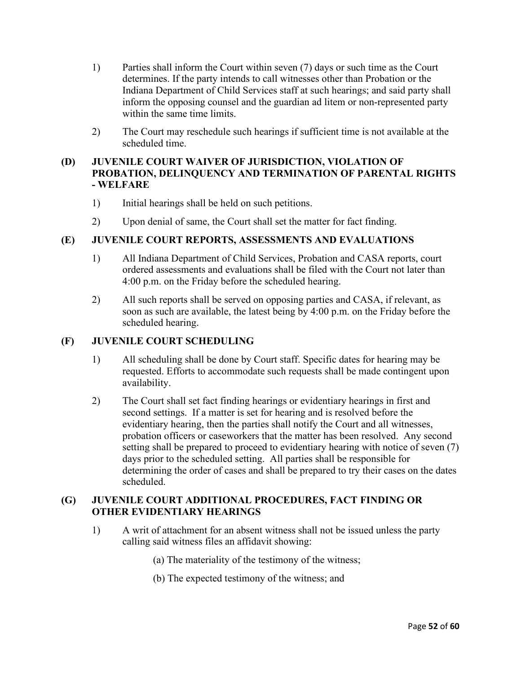- 1) Parties shall inform the Court within seven (7) days or such time as the Court determines. If the party intends to call witnesses other than Probation or the Indiana Department of Child Services staff at such hearings; and said party shall inform the opposing counsel and the guardian ad litem or non-represented party within the same time limits.
- 2) The Court may reschedule such hearings if sufficient time is not available at the scheduled time.

## **(D) JUVENILE COURT WAIVER OF JURISDICTION, VIOLATION OF PROBATION, DELINQUENCY AND TERMINATION OF PARENTAL RIGHTS - WELFARE**

- 1) Initial hearings shall be held on such petitions.
- 2) Upon denial of same, the Court shall set the matter for fact finding.

## **(E) JUVENILE COURT REPORTS, ASSESSMENTS AND EVALUATIONS**

- 1) All Indiana Department of Child Services, Probation and CASA reports, court ordered assessments and evaluations shall be filed with the Court not later than 4:00 p.m. on the Friday before the scheduled hearing.
- 2) All such reports shall be served on opposing parties and CASA, if relevant, as soon as such are available, the latest being by 4:00 p.m. on the Friday before the scheduled hearing.

## **(F) JUVENILE COURT SCHEDULING**

- 1) All scheduling shall be done by Court staff. Specific dates for hearing may be requested. Efforts to accommodate such requests shall be made contingent upon availability.
- 2) The Court shall set fact finding hearings or evidentiary hearings in first and second settings. If a matter is set for hearing and is resolved before the evidentiary hearing, then the parties shall notify the Court and all witnesses, probation officers or caseworkers that the matter has been resolved. Any second setting shall be prepared to proceed to evidentiary hearing with notice of seven (7) days prior to the scheduled setting. All parties shall be responsible for determining the order of cases and shall be prepared to try their cases on the dates scheduled.

## **(G) JUVENILE COURT ADDITIONAL PROCEDURES, FACT FINDING OR OTHER EVIDENTIARY HEARINGS**

- 1) A writ of attachment for an absent witness shall not be issued unless the party calling said witness files an affidavit showing:
	- (a) The materiality of the testimony of the witness;
	- (b) The expected testimony of the witness; and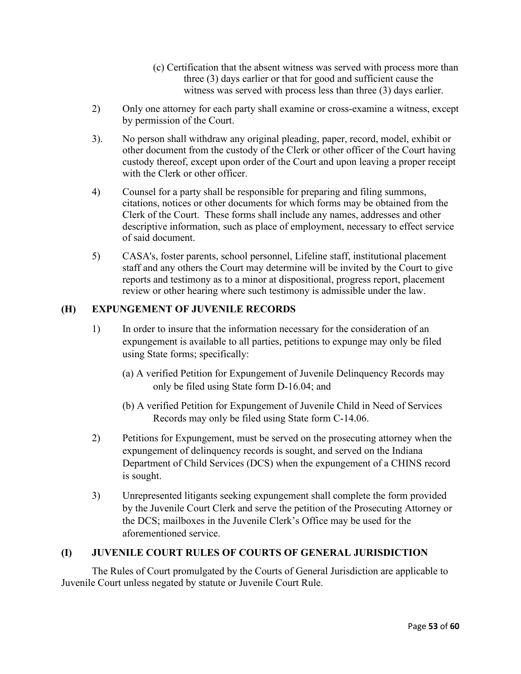- (c) Certification that the absent witness was served with process more than three (3) days earlier or that for good and sufficient cause the witness was served with process less than three (3) days earlier.
- 2) Only one attorney for each party shall examine or cross-examine a witness, except by permission of the Court.
- 3). No person shall withdraw any original pleading, paper, record, model, exhibit or other document from the custody of the Clerk or other officer of the Court having custody thereof, except upon order of the Court and upon leaving a proper receipt with the Clerk or other officer.
- 4) Counsel for a party shall be responsible for preparing and filing summons, citations, notices or other documents for which forms may be obtained from the Clerk of the Court. These forms shall include any names, addresses and other descriptive information, such as place of employment, necessary to effect service of said document.
- 5) CASA's, foster parents, school personnel, Lifeline staff, institutional placement staff and any others the Court may determine will be invited by the Court to give reports and testimony as to a minor at dispositional, progress report, placement review or other hearing where such testimony is admissible under the law.

## **(H) EXPUNGEMENT OF JUVENILE RECORDS**

- 1) In order to insure that the information necessary for the consideration of an expungement is available to all parties, petitions to expunge may only be filed using State forms; specifically:
	- (a) A verified Petition for Expungement of Juvenile Delinquency Records may only be filed using State form D-16.04; and
	- (b) A verified Petition for Expungement of Juvenile Child in Need of Services Records may only be filed using State form C-14.06.
- 2) Petitions for Expungement, must be served on the prosecuting attorney when the expungement of delinquency records is sought, and served on the Indiana Department of Child Services (DCS) when the expungement of a CHINS record is sought.
- 3) Unrepresented litigants seeking expungement shall complete the form provided by the Juvenile Court Clerk and serve the petition of the Prosecuting Attorney or the DCS; mailboxes in the Juvenile Clerk's Office may be used for the aforementioned service.

## **(I) JUVENILE COURT RULES OF COURTS OF GENERAL JURISDICTION**

The Rules of Court promulgated by the Courts of General Jurisdiction are applicable to Juvenile Court unless negated by statute or Juvenile Court Rule.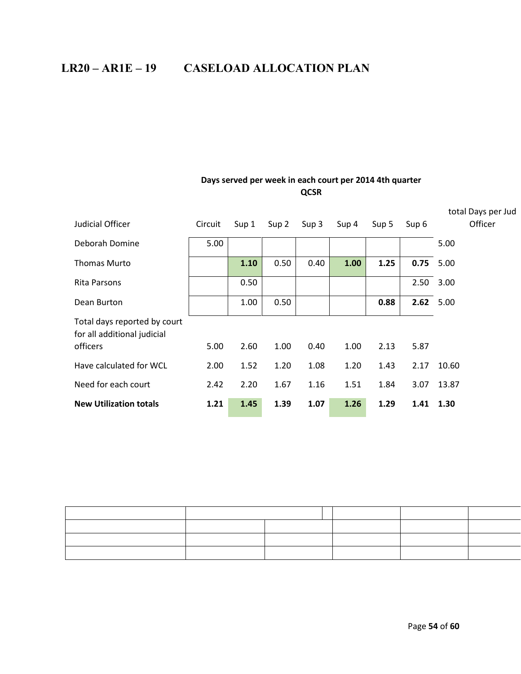# **LR20 – AR1E – 19 CASELOAD ALLOCATION PLAN**

| Judicial Officer                                            | Circuit | Sup 1 | Sup <sub>2</sub> | Sup 3 | Sup 4  | Sup 5 | Sup 6 | total Days per Jud<br>Officer |
|-------------------------------------------------------------|---------|-------|------------------|-------|--------|-------|-------|-------------------------------|
| Deborah Domine                                              | 5.00    |       |                  |       |        |       |       | 5.00                          |
| <b>Thomas Murto</b>                                         |         | 1.10  | 0.50             | 0.40  | 1.00   | 1.25  |       | $0.75$ 5.00                   |
| Rita Parsons                                                |         | 0.50  |                  |       |        |       |       | 2.50 3.00                     |
| Dean Burton                                                 |         | 1.00  | 0.50             |       |        | 0.88  |       | 2.62 5.00                     |
| Total days reported by court<br>for all additional judicial |         |       |                  |       |        |       |       |                               |
| officers                                                    | 5.00    | 2.60  | 1.00             | 0.40  | 1.00   | 2.13  | 5.87  |                               |
| Have calculated for WCL                                     | 2.00    | 1.52  | 1.20             | 1.08  | 1.20   | 1.43  | 2.17  | 10.60                         |
| Need for each court                                         | 2.42    | 2.20  | 1.67             | 1.16  | 1.51   | 1.84  | 3.07  | 13.87                         |
| <b>New Utilization totals</b>                               | 1.21    | 1.45  | 1.39             | 1.07  | $1.26$ | 1.29  | 1.41  | 1.30                          |

## **Days served per week in each court per 2014 4th quarter QCSR**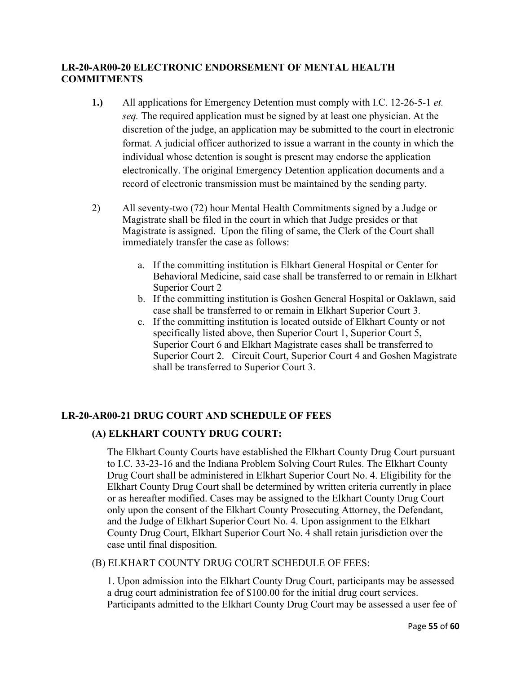## **LR-20-AR00-20 ELECTRONIC ENDORSEMENT OF MENTAL HEALTH COMMITMENTS**

- **1.)** All applications for Emergency Detention must comply with I.C. 12-26-5-1 *et. seq.* The required application must be signed by at least one physician. At the discretion of the judge, an application may be submitted to the court in electronic format. A judicial officer authorized to issue a warrant in the county in which the individual whose detention is sought is present may endorse the application electronically. The original Emergency Detention application documents and a record of electronic transmission must be maintained by the sending party.
- 2) All seventy-two (72) hour Mental Health Commitments signed by a Judge or Magistrate shall be filed in the court in which that Judge presides or that Magistrate is assigned. Upon the filing of same, the Clerk of the Court shall immediately transfer the case as follows:
	- a. If the committing institution is Elkhart General Hospital or Center for Behavioral Medicine, said case shall be transferred to or remain in Elkhart Superior Court 2
	- b. If the committing institution is Goshen General Hospital or Oaklawn, said case shall be transferred to or remain in Elkhart Superior Court 3.
	- c. If the committing institution is located outside of Elkhart County or not specifically listed above, then Superior Court 1, Superior Court 5, Superior Court 6 and Elkhart Magistrate cases shall be transferred to Superior Court 2. Circuit Court, Superior Court 4 and Goshen Magistrate shall be transferred to Superior Court 3.

## **LR-20-AR00-21 DRUG COURT AND SCHEDULE OF FEES**

## **(A) ELKHART COUNTY DRUG COURT:**

The Elkhart County Courts have established the Elkhart County Drug Court pursuant to I.C. 33-23-16 and the Indiana Problem Solving Court Rules. The Elkhart County Drug Court shall be administered in Elkhart Superior Court No. 4. Eligibility for the Elkhart County Drug Court shall be determined by written criteria currently in place or as hereafter modified. Cases may be assigned to the Elkhart County Drug Court only upon the consent of the Elkhart County Prosecuting Attorney, the Defendant, and the Judge of Elkhart Superior Court No. 4. Upon assignment to the Elkhart County Drug Court, Elkhart Superior Court No. 4 shall retain jurisdiction over the case until final disposition.

## (B) ELKHART COUNTY DRUG COURT SCHEDULE OF FEES:

1. Upon admission into the Elkhart County Drug Court, participants may be assessed a drug court administration fee of \$100.00 for the initial drug court services. Participants admitted to the Elkhart County Drug Court may be assessed a user fee of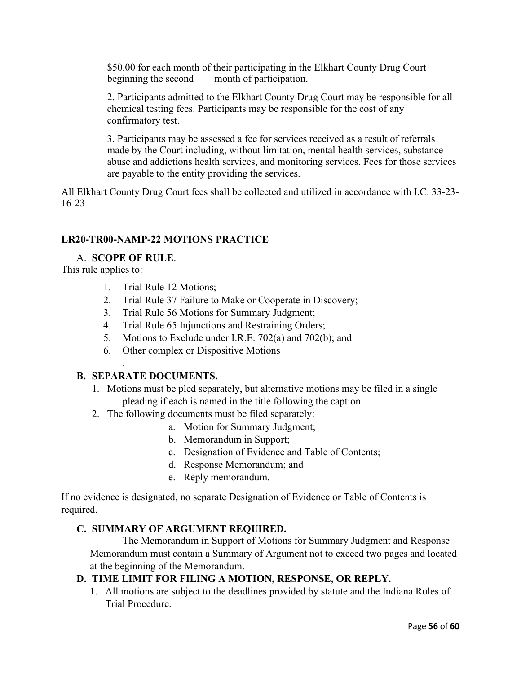\$50.00 for each month of their participating in the Elkhart County Drug Court beginning the second month of participation.

2. Participants admitted to the Elkhart County Drug Court may be responsible for all chemical testing fees. Participants may be responsible for the cost of any confirmatory test.

3. Participants may be assessed a fee for services received as a result of referrals made by the Court including, without limitation, mental health services, substance abuse and addictions health services, and monitoring services. Fees for those services are payable to the entity providing the services.

All Elkhart County Drug Court fees shall be collected and utilized in accordance with I.C. 33-23- 16-23

## **LR20-TR00-NAMP-22 MOTIONS PRACTICE**

## A. **SCOPE OF RULE**.

This rule applies to:

- 1. Trial Rule 12 Motions;
- 2. Trial Rule 37 Failure to Make or Cooperate in Discovery;
- 3. Trial Rule 56 Motions for Summary Judgment;
- 4. Trial Rule 65 Injunctions and Restraining Orders;
- 5. Motions to Exclude under I.R.E. 702(a) and 702(b); and
- 6. Other complex or Dispositive Motions

## **B. SEPARATE DOCUMENTS.**

.

- 1. Motions must be pled separately, but alternative motions may be filed in a single pleading if each is named in the title following the caption.
- 2. The following documents must be filed separately:
	- a. Motion for Summary Judgment;
	- b. Memorandum in Support;
	- c. Designation of Evidence and Table of Contents;
	- d. Response Memorandum; and
	- e. Reply memorandum.

If no evidence is designated, no separate Designation of Evidence or Table of Contents is required.

## **C. SUMMARY OF ARGUMENT REQUIRED.**

The Memorandum in Support of Motions for Summary Judgment and Response Memorandum must contain a Summary of Argument not to exceed two pages and located at the beginning of the Memorandum.

## **D. TIME LIMIT FOR FILING A MOTION, RESPONSE, OR REPLY.**

1. All motions are subject to the deadlines provided by statute and the Indiana Rules of Trial Procedure.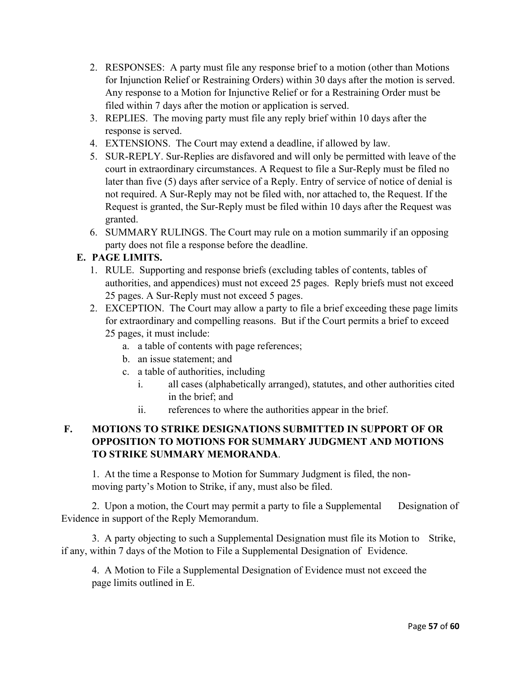- 2. RESPONSES: A party must file any response brief to a motion (other than Motions for Injunction Relief or Restraining Orders) within 30 days after the motion is served. Any response to a Motion for Injunctive Relief or for a Restraining Order must be filed within 7 days after the motion or application is served.
- 3. REPLIES. The moving party must file any reply brief within 10 days after the response is served.
- 4. EXTENSIONS. The Court may extend a deadline, if allowed by law.
- 5. SUR-REPLY. Sur-Replies are disfavored and will only be permitted with leave of the court in extraordinary circumstances. A Request to file a Sur-Reply must be filed no later than five (5) days after service of a Reply. Entry of service of notice of denial is not required. A Sur-Reply may not be filed with, nor attached to, the Request. If the Request is granted, the Sur-Reply must be filed within 10 days after the Request was granted.
- 6. SUMMARY RULINGS. The Court may rule on a motion summarily if an opposing party does not file a response before the deadline.

## **E. PAGE LIMITS.**

- 1. RULE. Supporting and response briefs (excluding tables of contents, tables of authorities, and appendices) must not exceed 25 pages. Reply briefs must not exceed 25 pages. A Sur-Reply must not exceed 5 pages.
- 2. EXCEPTION. The Court may allow a party to file a brief exceeding these page limits for extraordinary and compelling reasons. But if the Court permits a brief to exceed 25 pages, it must include:
	- a. a table of contents with page references;
	- b. an issue statement; and
	- c. a table of authorities, including
		- i. all cases (alphabetically arranged), statutes, and other authorities cited in the brief; and
		- ii. references to where the authorities appear in the brief.

## **F. MOTIONS TO STRIKE DESIGNATIONS SUBMITTED IN SUPPORT OF OR OPPOSITION TO MOTIONS FOR SUMMARY JUDGMENT AND MOTIONS TO STRIKE SUMMARY MEMORANDA**.

1. At the time a Response to Motion for Summary Judgment is filed, the nonmoving party's Motion to Strike, if any, must also be filed.

2. Upon a motion, the Court may permit a party to file a Supplemental Designation of Evidence in support of the Reply Memorandum.

3. A party objecting to such a Supplemental Designation must file its Motion to Strike, if any, within 7 days of the Motion to File a Supplemental Designation of Evidence.

4. A Motion to File a Supplemental Designation of Evidence must not exceed the page limits outlined in E.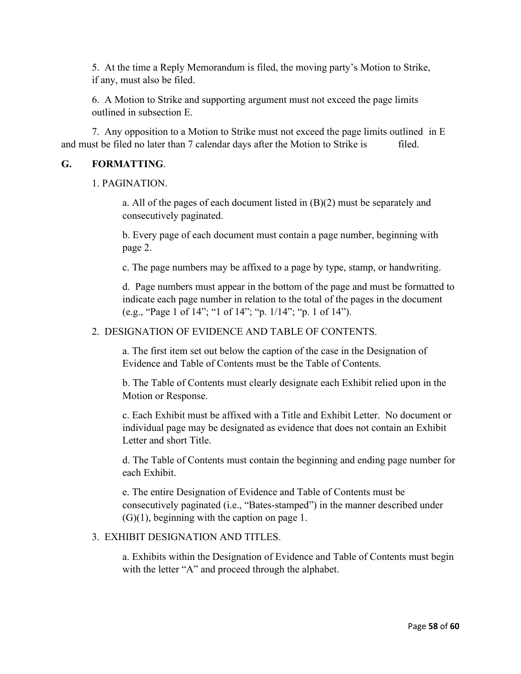5. At the time a Reply Memorandum is filed, the moving party's Motion to Strike, if any, must also be filed.

6. A Motion to Strike and supporting argument must not exceed the page limits outlined in subsection E.

7. Any opposition to a Motion to Strike must not exceed the page limits outlined in E and must be filed no later than 7 calendar days after the Motion to Strike is filed.

## **G. FORMATTING**.

#### 1. PAGINATION.

a. All of the pages of each document listed in (B)(2) must be separately and consecutively paginated.

b. Every page of each document must contain a page number, beginning with page 2.

c. The page numbers may be affixed to a page by type, stamp, or handwriting.

d. Page numbers must appear in the bottom of the page and must be formatted to indicate each page number in relation to the total of the pages in the document (e.g., "Page 1 of 14"; "1 of 14"; "p. 1/14"; "p. 1 of 14").

#### 2. DESIGNATION OF EVIDENCE AND TABLE OF CONTENTS.

a. The first item set out below the caption of the case in the Designation of Evidence and Table of Contents must be the Table of Contents.

b. The Table of Contents must clearly designate each Exhibit relied upon in the Motion or Response.

c. Each Exhibit must be affixed with a Title and Exhibit Letter. No document or individual page may be designated as evidence that does not contain an Exhibit Letter and short Title.

d. The Table of Contents must contain the beginning and ending page number for each Exhibit.

e. The entire Designation of Evidence and Table of Contents must be consecutively paginated (i.e., "Bates-stamped") in the manner described under  $(G)(1)$ , beginning with the caption on page 1.

## 3. EXHIBIT DESIGNATION AND TITLES.

a. Exhibits within the Designation of Evidence and Table of Contents must begin with the letter "A" and proceed through the alphabet.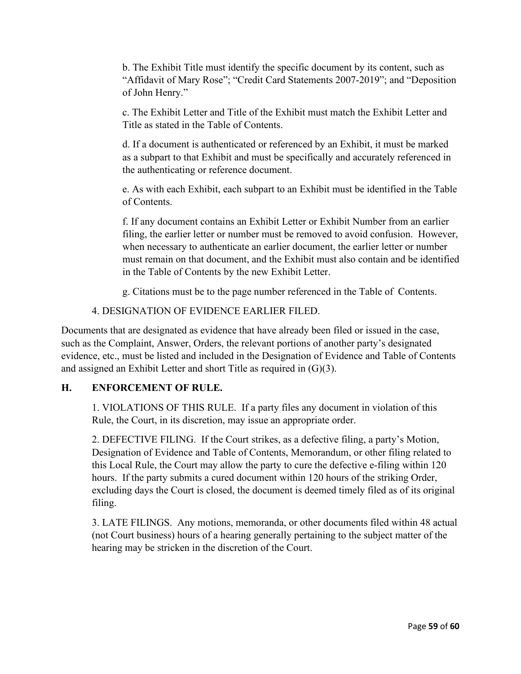b. The Exhibit Title must identify the specific document by its content, such as "Affidavit of Mary Rose"; "Credit Card Statements 2007-2019"; and "Deposition of John Henry."

c. The Exhibit Letter and Title of the Exhibit must match the Exhibit Letter and Title as stated in the Table of Contents.

d. If a document is authenticated or referenced by an Exhibit, it must be marked as a subpart to that Exhibit and must be specifically and accurately referenced in the authenticating or reference document.

e. As with each Exhibit, each subpart to an Exhibit must be identified in the Table of Contents.

f. If any document contains an Exhibit Letter or Exhibit Number from an earlier filing, the earlier letter or number must be removed to avoid confusion. However, when necessary to authenticate an earlier document, the earlier letter or number must remain on that document, and the Exhibit must also contain and be identified in the Table of Contents by the new Exhibit Letter.

g. Citations must be to the page number referenced in the Table of Contents.

## 4. DESIGNATION OF EVIDENCE EARLIER FILED.

Documents that are designated as evidence that have already been filed or issued in the case, such as the Complaint, Answer, Orders, the relevant portions of another party's designated evidence, etc., must be listed and included in the Designation of Evidence and Table of Contents and assigned an Exhibit Letter and short Title as required in (G)(3).

## **H. ENFORCEMENT OF RULE.**

1. VIOLATIONS OF THIS RULE. If a party files any document in violation of this Rule, the Court, in its discretion, may issue an appropriate order.

2. DEFECTIVE FILING. If the Court strikes, as a defective filing, a party's Motion, Designation of Evidence and Table of Contents, Memorandum, or other filing related to this Local Rule, the Court may allow the party to cure the defective e-filing within 120 hours. If the party submits a cured document within 120 hours of the striking Order, excluding days the Court is closed, the document is deemed timely filed as of its original filing.

3. LATE FILINGS. Any motions, memoranda, or other documents filed within 48 actual (not Court business) hours of a hearing generally pertaining to the subject matter of the hearing may be stricken in the discretion of the Court.